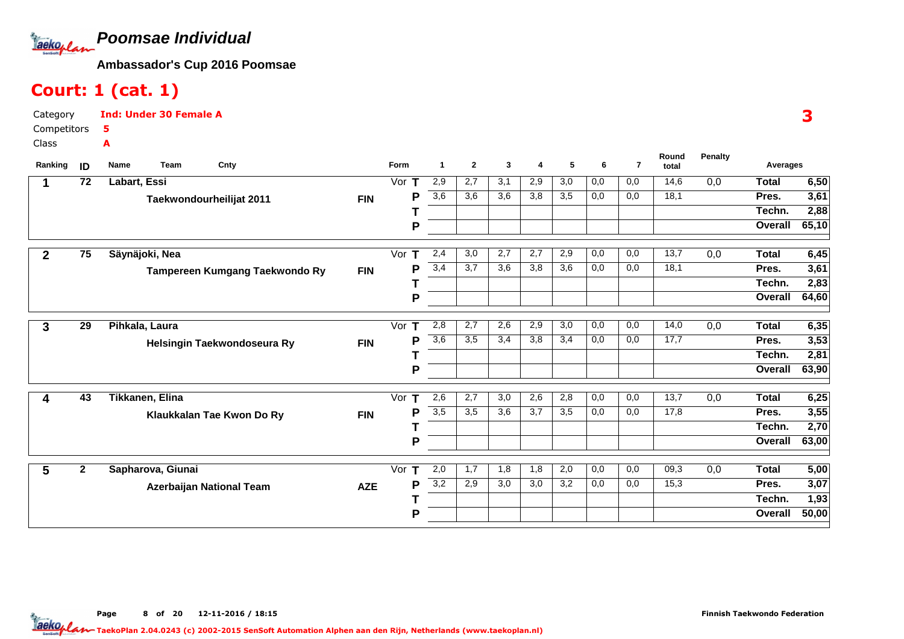

## Court: 1 (cat. 1)

| Category    | <b>Ind: Under 30 Female A</b> |
|-------------|-------------------------------|
| Competitors | -5                            |
| Class       |                               |

| Ranking      | ID           | Team<br>Cnty<br>Name           |            | Form     | -1               | $\mathbf{2}$ | 3                | 4   | 5                | 6   | $\overline{7}$ | Round<br>total | <b>Penalty</b> | Averages     |       |
|--------------|--------------|--------------------------------|------------|----------|------------------|--------------|------------------|-----|------------------|-----|----------------|----------------|----------------|--------------|-------|
| 1            | 72           | Labart, Essi                   |            | Vor $T$  | 2,9              | 2,7          | 3,1              | 2,9 | $\overline{3,0}$ | 0,0 | 0,0            | 14,6           | 0,0            | <b>Total</b> | 6,50  |
|              |              | Taekwondourheilijat 2011       | <b>FIN</b> | P        | $\overline{3,6}$ | 3,6          | 3,6              | 3,8 | 3,5              | 0,0 | 0,0            | 18,1           |                | Pres.        | 3,61  |
|              |              |                                |            |          |                  |              |                  |     |                  |     |                |                |                | Techn.       | 2,88  |
|              |              |                                |            | P        |                  |              |                  |     |                  |     |                |                |                | Overall      | 65,10 |
|              | 75           | Säynäjoki, Nea                 |            | Vor $T$  | 2,4              | 3,0          | 2,7              | 2,7 | 2,9              | 0,0 | 0,0            | 13,7           | 0,0            | <b>Total</b> | 6,45  |
| $\mathbf{2}$ |              |                                |            | P        | 3,4              | 3,7          | 3,6              | 3,8 | 3,6              | 0,0 | 0,0            | 18,1           |                | Pres.        | 3,61  |
|              |              | Tampereen Kumgang Taekwondo Ry | <b>FIN</b> |          |                  |              |                  |     |                  |     |                |                |                | Techn.       | 2,83  |
|              |              |                                |            |          |                  |              |                  |     |                  |     |                |                |                |              |       |
|              |              |                                |            | P        |                  |              |                  |     |                  |     |                |                |                | Overall      | 64,60 |
| 3            | 29           | Pihkala, Laura                 |            | Vor T    | 2,8              | 2,7          | 2,6              | 2,9 | 3,0              | 0,0 | 0,0            | 14,0           | 0,0            | <b>Total</b> | 6,35  |
|              |              | Helsingin Taekwondoseura Ry    | <b>FIN</b> | P        | $\overline{3,6}$ | 3,5          | 3,4              | 3,8 | 3,4              | 0,0 | 0,0            | 17,7           |                | Pres.        | 3,53  |
|              |              |                                |            |          |                  |              |                  |     |                  |     |                |                |                | Techn.       | 2,81  |
|              |              |                                |            | P        |                  |              |                  |     |                  |     |                |                |                | Overall      | 63,90 |
| 4            | 43           | Tikkanen, Elina                |            | Vor<br>т | 2,6              | 2,7          | $\overline{3,0}$ | 2,6 | 2,8              | 0,0 | 0,0            | 13,7           | 0,0            | <b>Total</b> | 6,25  |
|              |              | Klaukkalan Tae Kwon Do Ry      | <b>FIN</b> | P        | $\overline{3,5}$ | 3,5          | $\overline{3,6}$ | 3,7 | $\overline{3,5}$ | 0,0 | 0,0            | 17,8           |                | Pres.        | 3,55  |
|              |              |                                |            |          |                  |              |                  |     |                  |     |                |                |                | Techn.       | 2,70  |
|              |              |                                |            | P        |                  |              |                  |     |                  |     |                |                |                | Overall      | 63,00 |
|              |              |                                |            |          |                  |              |                  |     |                  |     |                |                |                |              |       |
| 5            | $\mathbf{2}$ | Sapharova, Giunai              |            | Vor $T$  | 2,0              | 1,7          | 1,8              | 1,8 | 2,0              | 0,0 | 0,0            | 09,3           | 0,0            | <b>Total</b> | 5,00  |
|              |              | Azerbaijan National Team       | <b>AZE</b> | P        | 3,2              | 2,9          | 3,0              | 3,0 | 3,2              | 0,0 | 0,0            | 15,3           |                | Pres.        | 3,07  |
|              |              |                                |            |          |                  |              |                  |     |                  |     |                |                |                | Techn.       | 1,93  |
|              |              |                                |            | P        |                  |              |                  |     |                  |     |                |                |                | Overall      | 50,00 |

3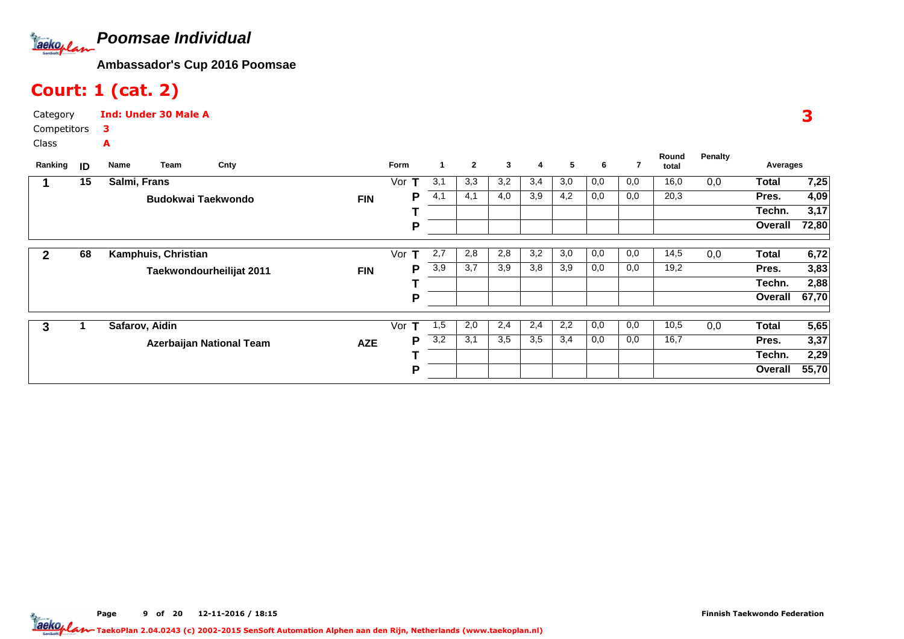

## Court: 1 (cat. 2)

| Category             | <b>Ind: Under 30 Male A</b> |
|----------------------|-----------------------------|
| Competitors <b>3</b> |                             |
| Class                |                             |

| Ranking | ID | Team<br>Cnty<br>Name      | Form            | 1                | $\mathbf{2}$ | 3   | 4   | 5   | 6   |     | Round<br>total | Penalty | Averages     |       |
|---------|----|---------------------------|-----------------|------------------|--------------|-----|-----|-----|-----|-----|----------------|---------|--------------|-------|
|         | 15 | Salmi, Frans              | Vor<br>т        | 3,1              | 3,3          | 3,2 | 3,4 | 3,0 | 0,0 | 0,0 | 16,0           | 0,0     | <b>Total</b> | 7,25  |
|         |    | <b>Budokwai Taekwondo</b> | Р<br><b>FIN</b> | 4,1              | 4,1          | 4,0 | 3,9 | 4,2 | 0,0 | 0,0 | 20,3           |         | Pres.        | 4,09  |
|         |    |                           |                 |                  |              |     |     |     |     |     |                |         | Techn.       | 3,17  |
|         |    |                           | P               |                  |              |     |     |     |     |     |                |         | Overall      | 72,80 |
|         |    |                           |                 |                  |              |     |     |     |     |     |                |         |              |       |
|         | 68 | Kamphuis, Christian       | Vor<br>т        | 2,7              | 2,8          | 2,8 | 3,2 | 3,0 | 0,0 | 0,0 | 14,5           | 0,0     | <b>Total</b> | 6,72  |
|         |    | Taekwondourheilijat 2011  | Р<br><b>FIN</b> | 3,9              | 3,7          | 3,9 | 3,8 | 3,9 | 0,0 | 0,0 | 19,2           |         | Pres.        | 3,83  |
|         |    |                           |                 |                  |              |     |     |     |     |     |                |         | Techn.       | 2,88  |
|         |    |                           | P               |                  |              |     |     |     |     |     |                |         | Overall      | 67,70 |
|         |    |                           |                 |                  |              |     |     |     |     |     |                |         |              |       |
| 3       |    | Safarov, Aidin            | Vor<br>т        | 1,5              | 2,0          | 2,4 | 2,4 | 2,2 | 0,0 | 0,0 | 10,5           | 0,0     | <b>Total</b> | 5,65  |
|         |    | Azerbaijan National Team  | P<br><b>AZE</b> | $\overline{3,2}$ | 3,1          | 3,5 | 3,5 | 3,4 | 0,0 | 0,0 | 16,7           |         | Pres.        | 3,37  |
|         |    |                           |                 |                  |              |     |     |     |     |     |                |         | Techn.       | 2,29  |
|         |    |                           | P               |                  |              |     |     |     |     |     |                |         | Overall      | 55,70 |

3

Page 9 of 20 12-11-2016 / 18:15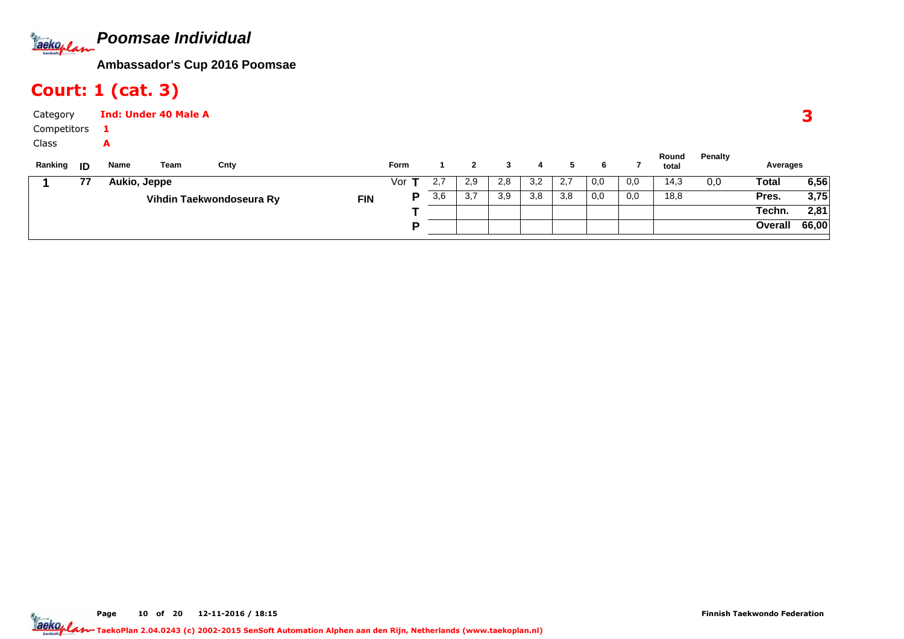

## Court: 1 (cat. 3)

| Category          |    |              | <b>Ind: Under 40 Male A</b> |                          |            |             |     |     |     |     |     |     |     |                |         |          | o     |
|-------------------|----|--------------|-----------------------------|--------------------------|------------|-------------|-----|-----|-----|-----|-----|-----|-----|----------------|---------|----------|-------|
| Competitors       |    |              |                             |                          |            |             |     |     |     |     |     |     |     |                |         |          |       |
| Class             |    | A            |                             |                          |            |             |     |     |     |     |     |     |     |                |         |          |       |
| Ranking <b>ID</b> |    | Name         | Team                        | Cnty                     |            | <b>Form</b> |     |     |     | 4   | 5   | 6   |     | Round<br>total | Penalty | Averages |       |
|                   | 77 | Aukio, Jeppe |                             |                          |            | Vor         | 2,7 | 2,9 | 2,8 | 3,2 | 2,7 | 0,0 | 0,0 | 14,3           | 0,0     | Total    | 6,56  |
|                   |    |              |                             | Vihdin Taekwondoseura Ry | <b>FIN</b> | P           | 3,6 | 3,7 | 3,9 | 3,8 | 3,8 | 0,0 | 0,0 | 18,8           |         | Pres.    | 3,75  |
|                   |    |              |                             |                          |            |             |     |     |     |     |     |     |     |                |         | Techn.   | 2,81  |
|                   |    |              |                             |                          |            | D           |     |     |     |     |     |     |     |                |         | Overall  | 66,00 |

Page 10 of 20 12-11-2016 / 18:15 <sup>10</sup>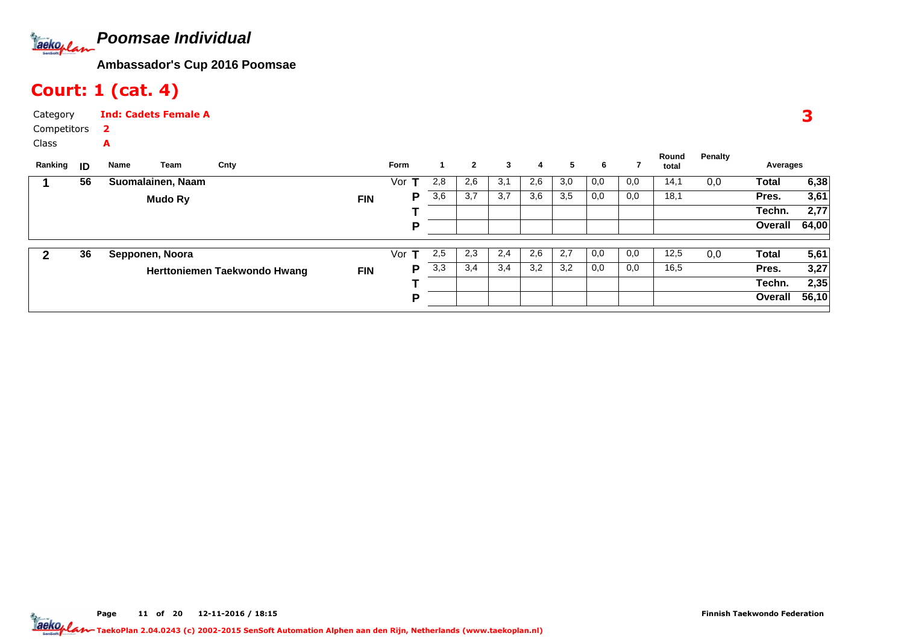

## Court: 1 (cat. 4)

| Category      | <b>Ind: Cadets Female A</b> |
|---------------|-----------------------------|
| Competitors 2 |                             |
| Class         | А                           |

| Ranking | ID | Name | Team              | Cnty                         |            | Form     |     | 2   | 3   | 4   | 5   | 6   |     | Round<br>total | Penalty | Averages     |       |
|---------|----|------|-------------------|------------------------------|------------|----------|-----|-----|-----|-----|-----|-----|-----|----------------|---------|--------------|-------|
|         | 56 |      | Suomalainen, Naam |                              |            | Vor      | 2,8 | 2,6 | 3,1 | 2,6 | 3,0 | 0,0 | 0,0 | 14,1           | 0,0     | Total        | 6,38  |
|         |    |      | Mudo Ry           |                              | <b>FIN</b> | P        | 3,6 | 3,7 | 3,7 | 3,6 | 3,5 | 0,0 | 0,0 | 18,1           |         | Pres.        | 3,61  |
|         |    |      |                   |                              |            |          |     |     |     |     |     |     |     |                |         | Techn.       | 2,77  |
|         |    |      |                   |                              |            | P        |     |     |     |     |     |     |     |                |         | Overall      | 64,00 |
| 2       | 36 |      | Sepponen, Noora   |                              |            | Vor<br>т | 2,5 | 2,3 | 2,4 | 2,6 | 2,7 | 0,0 | 0,0 | 12,5           | 0,0     | <b>Total</b> | 5,61  |
|         |    |      |                   | Herttoniemen Taekwondo Hwang | <b>FIN</b> | P        | 3,3 | 3,4 | 3,4 | 3,2 | 3,2 | 0,0 | 0,0 | 16,5           |         | Pres.        | 3,27  |
|         |    |      |                   |                              |            |          |     |     |     |     |     |     |     |                |         | Techn.       | 2,35  |
|         |    |      |                   |                              |            | P        |     |     |     |     |     |     |     |                |         | Overall      | 56,10 |
|         |    |      |                   |                              |            |          |     |     |     |     |     |     |     |                |         |              |       |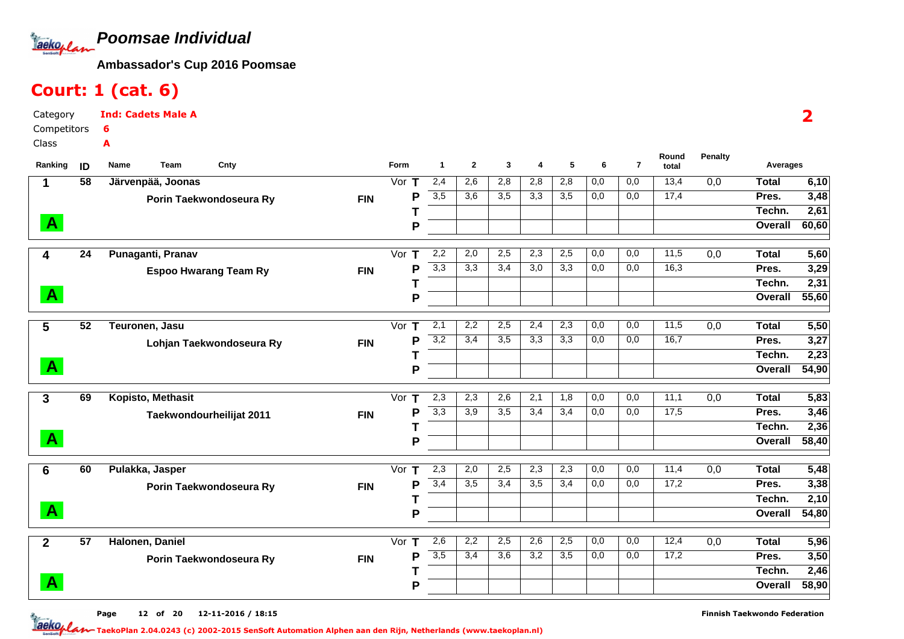**Poomsae Individual**Taekoplan

Ind: Cadets Male A

**Ambassador's Cup 2016 Poomsae**

## Court: 1 (cat. 6)

6A

CategoryCompetitors

Class

| Ranking      | ID              | Cnty<br>Name<br>Team         |            | Round<br>5<br>$\overline{7}$<br>Form<br>$\mathbf{1}$<br>$\mathbf{2}$<br>3<br>6<br>4<br>total | <b>Penalty</b>   | Averages |     |                  |                  |                  |     |      |     |              |       |
|--------------|-----------------|------------------------------|------------|----------------------------------------------------------------------------------------------|------------------|----------|-----|------------------|------------------|------------------|-----|------|-----|--------------|-------|
| 1            | 58              | Järvenpää, Joonas            |            | Vor $T$                                                                                      | 2,4              | 2,6      | 2,8 | 2,8              | 2,8              | 0,0              | 0,0 | 13,4 | 0,0 | <b>Total</b> | 6,10  |
|              |                 | Porin Taekwondoseura Ry      | <b>FIN</b> | P                                                                                            | 3,5              | 3.6      | 3,5 | 3,3              | 3,5              | 0,0              | 0,0 | 17,4 |     | Pres.        | 3,48  |
|              |                 |                              |            |                                                                                              |                  |          |     |                  |                  |                  |     |      |     | Techn.       | 2,61  |
| $\mathbf{A}$ |                 |                              |            | P                                                                                            |                  |          |     |                  |                  |                  |     |      |     | Overall      | 60,60 |
| 4            | 24              | Punaganti, Pranav            |            | Vor<br>$\mathsf T$                                                                           | 2,2              | 2,0      | 2,5 | 2,3              | 2,5              | $\overline{0,0}$ | 0,0 | 11,5 | 0,0 | <b>Total</b> | 5,60  |
|              |                 | <b>Espoo Hwarang Team Ry</b> | <b>FIN</b> | P                                                                                            | 3,3              | 3,3      | 3,4 | $\overline{3,0}$ | 3,3              | 0,0              | 0,0 | 16,3 |     | Pres.        | 3,29  |
|              |                 |                              |            |                                                                                              |                  |          |     |                  |                  |                  |     |      |     | Techn.       | 2,31  |
| $\mathbf{A}$ |                 |                              |            | P                                                                                            |                  |          |     |                  |                  |                  |     |      |     | Overall      | 55,60 |
| 5            | 52              | Teuronen, Jasu               |            | Vor<br>$\mathbf T$                                                                           | 2,1              | 2,2      | 2,5 | 2,4              | 2,3              | 0,0              | 0,0 | 11,5 | 0,0 | <b>Total</b> | 5,50  |
|              |                 | Lohjan Taekwondoseura Ry     | <b>FIN</b> | P                                                                                            | $\overline{3,2}$ | 3,4      | 3,5 | 3,3              | 3,3              | 0,0              | 0,0 | 16,7 |     | Pres.        | 3,27  |
|              |                 |                              |            |                                                                                              |                  |          |     |                  |                  |                  |     |      |     | Techn.       | 2,23  |
| $\mathbf{A}$ |                 |                              |            | P                                                                                            |                  |          |     |                  |                  |                  |     |      |     | Overall      | 54,90 |
| 3            | 69              | Kopisto, Methasit            |            | Vor<br>т                                                                                     | 2,3              | 2,3      | 2,6 | 2,1              | 1,8              | 0,0              | 0,0 | 11,1 | 0,0 | <b>Total</b> | 5,83  |
|              |                 | Taekwondourheilijat 2011     | <b>FIN</b> | P                                                                                            | 3,3              | 3,9      | 3,5 | 3,4              | 3,4              | $\overline{0,0}$ | 0,0 | 17,5 |     | Pres.        | 3,46  |
|              |                 |                              |            |                                                                                              |                  |          |     |                  |                  |                  |     |      |     | Techn.       | 2,36  |
| $\mathbf{A}$ |                 |                              |            | P                                                                                            |                  |          |     |                  |                  |                  |     |      |     | Overall      | 58,40 |
| 6            | 60              | Pulakka, Jasper              |            | Vor<br>$\mathsf T$                                                                           | 2,3              | 2,0      | 2,5 | 2,3              | 2,3              | 0,0              | 0,0 | 11,4 | 0,0 | <b>Total</b> | 5,48  |
|              |                 | Porin Taekwondoseura Ry      | <b>FIN</b> | P                                                                                            | 3,4              | 3,5      | 3,4 | $\overline{3,5}$ | 3,4              | $\overline{0,0}$ | 0,0 | 17,2 |     | Pres.        | 3,38  |
|              |                 |                              |            |                                                                                              |                  |          |     |                  |                  |                  |     |      |     | Techn.       | 2,10  |
| $\mathbf{A}$ |                 |                              |            | P                                                                                            |                  |          |     |                  |                  |                  |     |      |     | Overall      | 54,80 |
| $\mathbf{2}$ | $\overline{57}$ | Halonen, Daniel              |            | Vor<br>Т                                                                                     | 2,6              | 2,2      | 2,5 | 2,6              | 2,5              | 0,0              | 0,0 | 12,4 | 0,0 | <b>Total</b> | 5,96  |
|              |                 | Porin Taekwondoseura Ry      | <b>FIN</b> | P                                                                                            | 3,5              | 3,4      | 3,6 | 3,2              | $\overline{3,5}$ | 0,0              | 0,0 | 17,2 |     | Pres.        | 3,50  |
|              |                 |                              |            |                                                                                              |                  |          |     |                  |                  |                  |     |      |     | Techn.       | 2,46  |
| $\mathbf{A}$ |                 |                              |            | P                                                                                            |                  |          |     |                  |                  |                  |     |      |     | Overall      | 58,90 |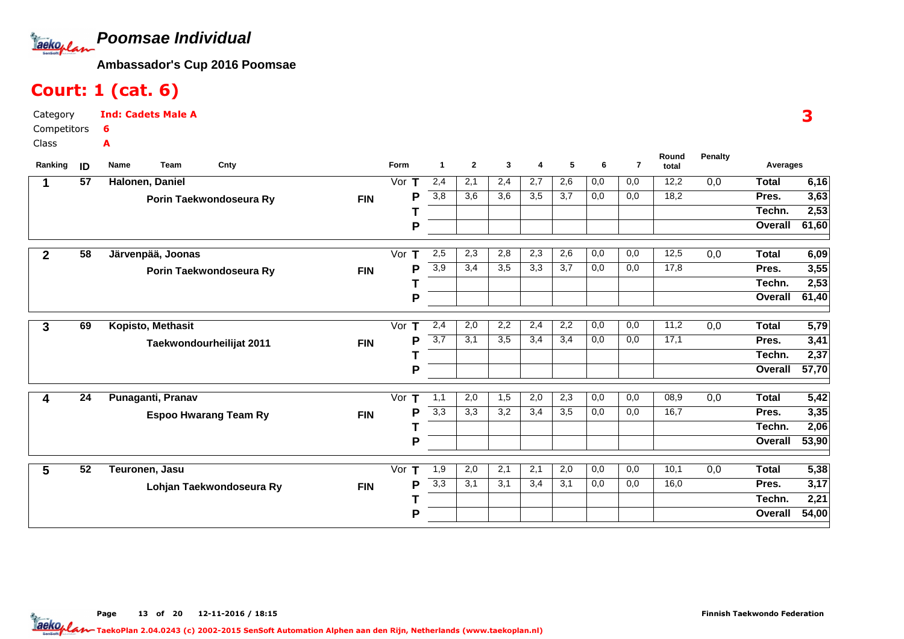**Poomsae Individual**Taekoplan

Ind: Cadets Male A

**Ambassador's Cup 2016 Poomsae**

#### Court: 1 (cat. 6)

 Competitors6A

Class

Category

| Ranking        | ID              | Cnty<br>Name<br><b>Team</b>  |            | Form     | 1   | $\mathbf{2}$ | 3   | 4   | 5   | 6   | $\overline{7}$ | Round<br>total    | <b>Penalty</b>   | Averages     |       |
|----------------|-----------------|------------------------------|------------|----------|-----|--------------|-----|-----|-----|-----|----------------|-------------------|------------------|--------------|-------|
|                | 57              | Halonen, Daniel              |            | Vor<br>т | 2,4 | 2,1          | 2,4 | 2,7 | 2,6 | 0,0 | 0,0            | 12,2              | 0,0              | <b>Total</b> | 6,16  |
|                |                 | Porin Taekwondoseura Ry      | <b>FIN</b> | P        | 3,8 | 3,6          | 3,6 | 3,5 | 3,7 | 0,0 | 0,0            | 18,2              |                  | Pres.        | 3,63  |
|                |                 |                              |            |          |     |              |     |     |     |     |                |                   |                  | Techn.       | 2,53  |
|                |                 |                              |            | P        |     |              |     |     |     |     |                |                   |                  | Overall      | 61,60 |
| $\overline{2}$ | $\overline{58}$ | Järvenpää, Joonas            |            | Vor<br>т | 2,5 | 2,3          | 2,8 | 2,3 | 2,6 | 0,0 | 0,0            | 12,5              | $\overline{0,0}$ | <b>Total</b> | 6,09  |
|                |                 | Porin Taekwondoseura Ry      | <b>FIN</b> | Ρ        | 3,9 | 3,4          | 3,5 | 3,3 | 3,7 | 0,0 | 0,0            | $\overline{17,8}$ |                  | Pres.        | 3,55  |
|                |                 |                              |            |          |     |              |     |     |     |     |                |                   |                  | Techn.       | 2,53  |
|                |                 |                              |            | P        |     |              |     |     |     |     |                |                   |                  | Overall      | 61,40 |
| 3              | 69              | Kopisto, Methasit            |            | Vor $T$  | 2,4 | 2,0          | 2,2 | 2,4 | 2,2 | 0,0 | 0,0            | 11,2              | 0,0              | <b>Total</b> | 5,79  |
|                |                 | Taekwondourheilijat 2011     | <b>FIN</b> | Ρ        | 3,7 | 3,1          | 3,5 | 3,4 | 3,4 | 0,0 | 0,0            | 17,1              |                  | Pres.        | 3,41  |
|                |                 |                              |            |          |     |              |     |     |     |     |                |                   |                  | Techn.       | 2,37  |
|                |                 |                              |            | P        |     |              |     |     |     |     |                |                   |                  | Overall      | 57,70 |
|                | 24              | Punaganti, Pranav            |            | Vor      | 1,1 | 2,0          | 1,5 | 2,0 | 2,3 | 0,0 | 0,0            | 08,9              | $\overline{0,0}$ | <b>Total</b> | 5,42  |
|                |                 | <b>Espoo Hwarang Team Ry</b> | <b>FIN</b> | Ρ        | 3,3 | 3,3          | 3,2 | 3,4 | 3,5 | 0,0 | 0,0            | 16,7              |                  | Pres.        | 3,35  |
|                |                 |                              |            |          |     |              |     |     |     |     |                |                   |                  | Techn.       | 2,06  |
|                |                 |                              |            | P        |     |              |     |     |     |     |                |                   |                  | Overall      | 53,90 |
| 5              | 52              | Teuronen, Jasu               |            | Vor $T$  | 1,9 | 2,0          | 2,1 | 2,1 | 2,0 | 0,0 | 0,0            | 10,1              | 0,0              | <b>Total</b> | 5,38  |
|                |                 | Lohjan Taekwondoseura Ry     | <b>FIN</b> | Ρ        | 3,3 | 3,1          | 3,1 | 3,4 | 3,1 | 0,0 | 0,0            | 16,0              |                  | Pres.        | 3,17  |
|                |                 |                              |            |          |     |              |     |     |     |     |                |                   |                  | Techn.       | 2,21  |
|                |                 |                              |            | P        |     |              |     |     |     |     |                |                   |                  | Overall      | 54,00 |

3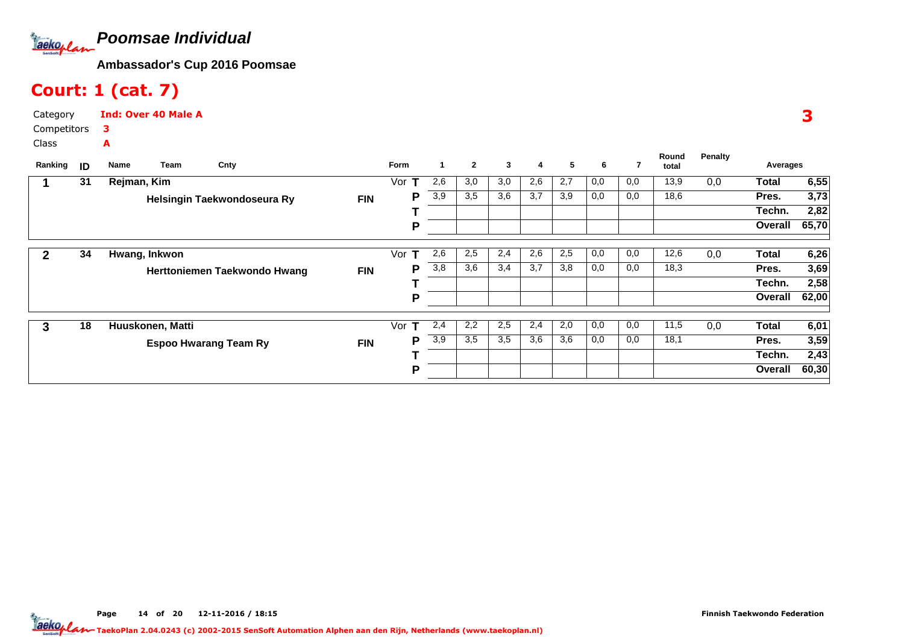

## Court: 1 (cat. 7)

| Category             | <b>Ind: Over 40 Male A</b> |
|----------------------|----------------------------|
| Competitors <b>3</b> |                            |
| Class                |                            |

| Ranking | ID | Name        | Team             | Cnty                         |            | Form     | 1                | $\mathbf{2}$ | 3   | 4   | 5   | 6   |     | Round<br>total | <b>Penalty</b> | Averages |       |
|---------|----|-------------|------------------|------------------------------|------------|----------|------------------|--------------|-----|-----|-----|-----|-----|----------------|----------------|----------|-------|
|         | 31 | Rejman, Kim |                  |                              |            | Vor      | 2,6              | 3,0          | 3,0 | 2,6 | 2,7 | 0,0 | 0,0 | 13,9           | 0,0            | Total    | 6,55  |
|         |    |             |                  | Helsingin Taekwondoseura Ry  | <b>FIN</b> | P        | 3,9              | 3,5          | 3,6 | 3,7 | 3,9 | 0,0 | 0,0 | 18,6           |                | Pres.    | 3,73  |
|         |    |             |                  |                              |            |          |                  |              |     |     |     |     |     |                |                | Techn.   | 2,82  |
|         |    |             |                  |                              |            | P        |                  |              |     |     |     |     |     |                |                | Overall  | 65,70 |
|         | 34 |             | Hwang, Inkwon    |                              |            | Vor<br>т | 2,6              | 2,5          | 2,4 | 2,6 | 2,5 | 0,0 | 0,0 | 12,6           | 0,0            | Total    | 6,26  |
|         |    |             |                  | Herttoniemen Taekwondo Hwang | <b>FIN</b> | P        | 3,8              | 3,6          | 3,4 | 3,7 | 3,8 | 0,0 | 0,0 | 18,3           |                | Pres.    | 3,69  |
|         |    |             |                  |                              |            |          |                  |              |     |     |     |     |     |                |                | Techn.   | 2,58  |
|         |    |             |                  |                              |            | P        |                  |              |     |     |     |     |     |                |                | Overall  | 62,00 |
| 3       | 18 |             | Huuskonen, Matti |                              |            | Vor<br>т | 2,4              | 2,2          | 2,5 | 2,4 | 2,0 | 0,0 | 0,0 | 11,5           | 0,0            | Total    | 6,01  |
|         |    |             |                  | <b>Espoo Hwarang Team Ry</b> | <b>FIN</b> | P        | $\overline{3,9}$ | 3,5          | 3,5 | 3,6 | 3,6 | 0,0 | 0,0 | 18,1           |                | Pres.    | 3,59  |
|         |    |             |                  |                              |            |          |                  |              |     |     |     |     |     |                |                | Techn.   | 2,43  |
|         |    |             |                  |                              |            | Р        |                  |              |     |     |     |     |     |                |                | Overall  | 60,30 |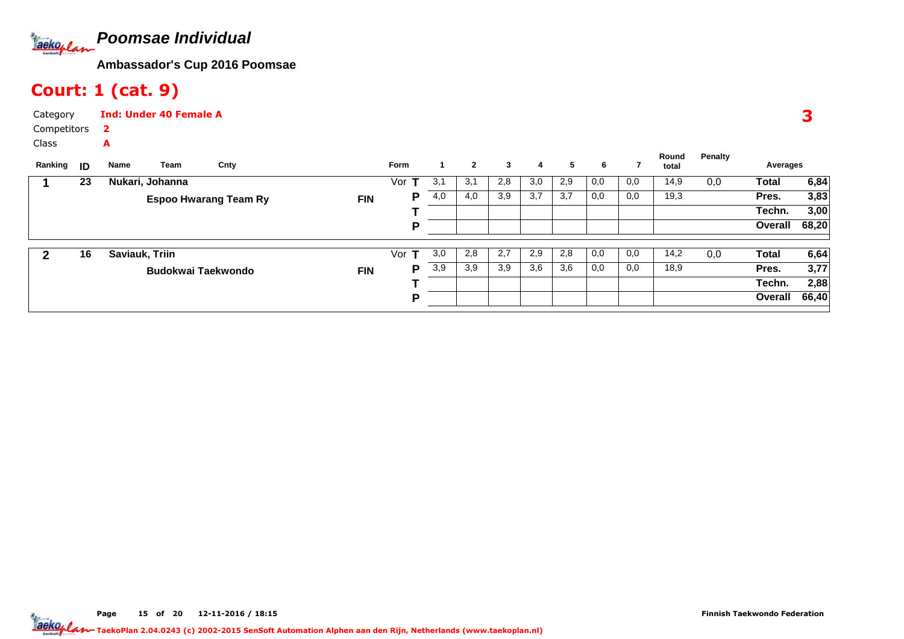**Poomsae Individual**Tackoplan

**Ambassador's Cup 2016 Poomsae**

## Court: 1 (cat. 9)

**Name**

Ranking **ID** Name Team

| Category      | <b>Ind: Under 40 Female A</b> |  |  |  |  |  |  |  |  |  |
|---------------|-------------------------------|--|--|--|--|--|--|--|--|--|
| Competitors 2 |                               |  |  |  |  |  |  |  |  |  |
| Class         | Δ                             |  |  |  |  |  |  |  |  |  |

| Team          | Cntv                  |             | <b>Form</b> |      |        |     | 4                    |     |     |     | Round<br>total | Penalty | Averages |
|---------------|-----------------------|-------------|-------------|------|--------|-----|----------------------|-----|-----|-----|----------------|---------|----------|
| tari, Johanna |                       |             | Vor         | ا, ب | ا بر ب | 2,8 | 3,0                  | 2,9 | 0,0 | 0,0 | 14,9           | 0.0     | Total    |
|               | Econo Hussang Toom Du | <b>CINI</b> |             | 4.0  | 4.0    | 3.9 | $\sim$ $\sim$<br>◡.≀ | 3.7 | 0.0 | 0.0 | 19.3           |         | Pres.    |

| 23 | Nukari, Johanna              |            | Vor | 3.1 | 3.1 | 2,8 | 3,0 | 2,9 | 0,0 | 0,0 | 14,9 | 0,0 | Total   | 6,84  |
|----|------------------------------|------------|-----|-----|-----|-----|-----|-----|-----|-----|------|-----|---------|-------|
|    | <b>Espoo Hwarang Team Ry</b> | <b>FIN</b> | D   | 4,0 | 4,0 | 3,9 | 3,7 | 3,7 | 0,0 | 0,0 | 19,3 |     | Pres.   | 3,83  |
|    |                              |            |     |     |     |     |     |     |     |     |      |     | Techn.  | 3,00  |
|    |                              |            | o   |     |     |     |     |     |     |     |      |     | Overall | 68,20 |
|    |                              |            |     |     |     |     |     |     |     |     |      |     |         |       |
| 16 | Saviauk, Triin               |            | Vor | 3,0 | 2,8 | 2,7 | 2,9 | 2,8 | 0,0 | 0,0 | 14,2 | 0,0 | Total   | 6,64  |
|    | <b>Budokwai Taekwondo</b>    | <b>FIN</b> | D   | 3,9 | 3,9 | 3,9 | 3,6 | 3,6 | 0,0 | 0,0 | 18,9 |     | Pres.   | 3,77  |
|    |                              |            |     |     |     |     |     |     |     |     |      |     | Techn.  | 2,88  |
|    |                              |            | D   |     |     |     |     |     |     |     |      |     | Overall | 66,40 |
|    |                              |            |     |     |     |     |     |     |     |     |      |     |         |       |

Page 15 of 20 12-11-2016 / 18:15 <sup>15</sup>

3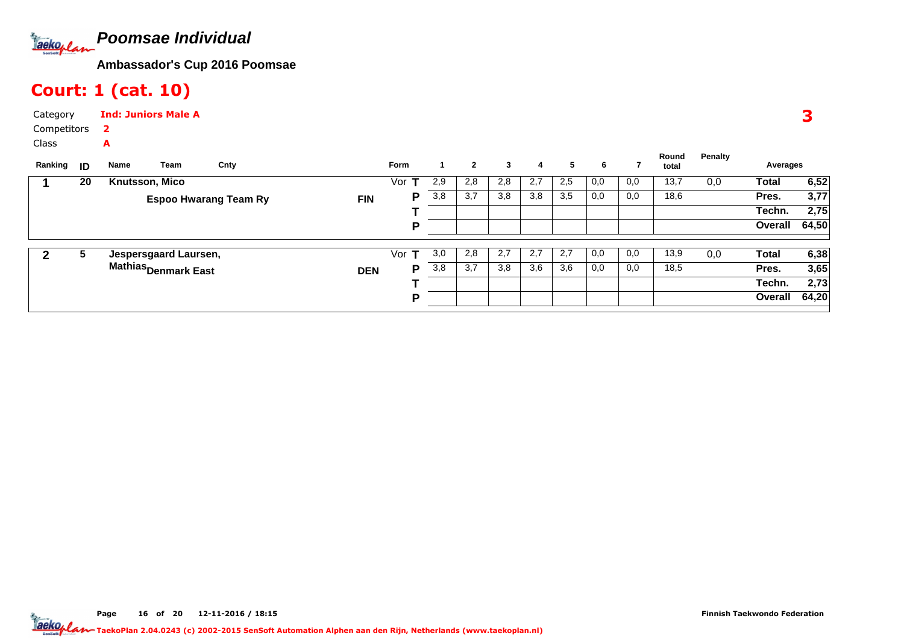

## Court: 1 (cat. 10)

| Category      | <b>Ind: Juniors Male A</b> |  |  |  |  |  |  |  |  |  |
|---------------|----------------------------|--|--|--|--|--|--|--|--|--|
| Competitors 2 |                            |  |  |  |  |  |  |  |  |  |
| Class         |                            |  |  |  |  |  |  |  |  |  |

| Ranking      | ID                           | Name                  | Team                            | Cnty |            | <b>Form</b>  |     | $\mathbf{2}$ | 3   | 4   | 5   | 6    |     | Round<br>total | Penalty | Averages     |       |
|--------------|------------------------------|-----------------------|---------------------------------|------|------------|--------------|-----|--------------|-----|-----|-----|------|-----|----------------|---------|--------------|-------|
|              | 20                           | <b>Knutsson, Mico</b> |                                 |      |            | Vor <b>1</b> | 2,9 | 2,8          | 2,8 | 2,7 | 2,5 | 0,0  | 0,0 | 13,7           | 0,0     | Total        | 6,52  |
|              | <b>Espoo Hwarang Team Ry</b> |                       | <b>FIN</b>                      | P    | 3,8        | 3,7          | 3,8 | 3,8          | 3,5 | 0,0 | 0,0 | 18,6 |     | Pres.          | 3,77    |              |       |
|              |                              |                       |                                 |      |            |              |     |              |     |     |     |      |     |                |         | Techn.       | 2,75  |
|              |                              |                       |                                 |      |            | P            |     |              |     |     |     |      |     |                |         | Overall      | 64,50 |
| $\mathbf{2}$ | 5                            |                       | Jespersgaard Laursen,           |      |            | Vor          | 3,0 | 2,8          | 2,7 | 2.7 | 2,7 | 0,0  | 0,0 | 13,9           | 0,0     | <b>Total</b> | 6,38  |
|              |                              |                       | Mathias <sub>Denmark East</sub> |      | <b>DEN</b> | P            | 3,8 | 3,7          | 3,8 | 3,6 | 3,6 | 0,0  | 0,0 | 18,5           |         | Pres.        | 3,65  |
|              |                              |                       |                                 |      |            |              |     |              |     |     |     |      |     |                |         | Techn.       | 2,73  |
|              |                              |                       |                                 |      |            | P            |     |              |     |     |     |      |     |                |         | Overall      | 64,20 |
|              |                              |                       |                                 |      |            |              |     |              |     |     |     |      |     |                |         |              |       |

3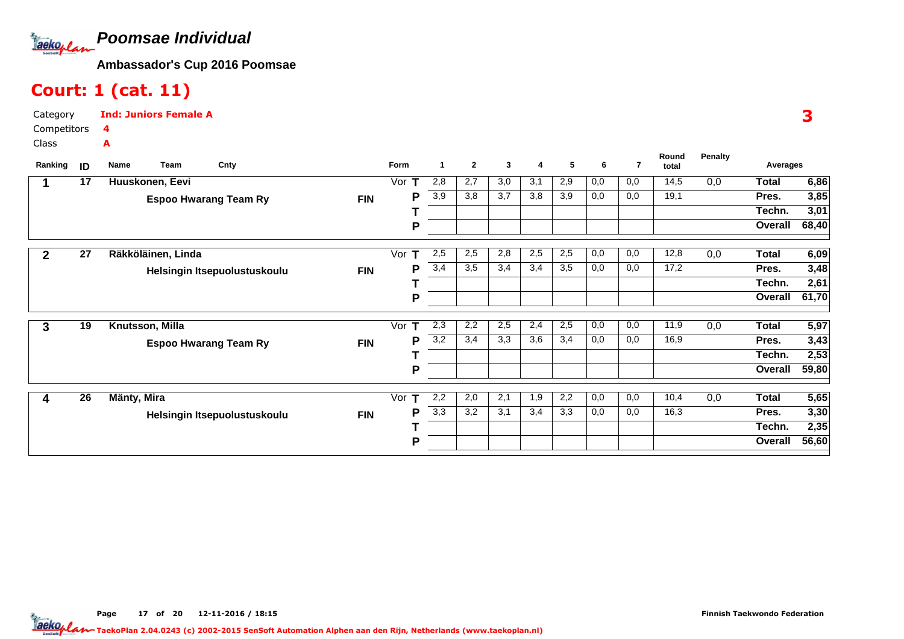

## Court: 1 (cat. 11)

| Category    | <b>Ind: Juniors Female A</b> |
|-------------|------------------------------|
| Competitors |                              |
| Class       | А                            |

| Ranking | ID              | <b>Name</b>        | Team | Cnty                         |            | Form     | 1   | $\mathbf{2}$ | 3   | 4   | 5   | 6   | 7   | Round<br>total | <b>Penalty</b> | Averages     |       |
|---------|-----------------|--------------------|------|------------------------------|------------|----------|-----|--------------|-----|-----|-----|-----|-----|----------------|----------------|--------------|-------|
|         | $\overline{17}$ | Huuskonen, Eevi    |      |                              |            | Vor      | 2,8 | 2,7          | 3,0 | 3,1 | 2,9 | 0,0 | 0,0 | 14,5           | 0,0            | Total        | 6,86  |
|         |                 |                    |      | <b>Espoo Hwarang Team Ry</b> | <b>FIN</b> | P        | 3,9 | 3,8          | 3,7 | 3,8 | 3,9 | 0,0 | 0,0 | 19,1           |                | Pres.        | 3,85  |
|         |                 |                    |      |                              |            |          |     |              |     |     |     |     |     |                |                | Techn.       | 3,01  |
|         |                 |                    |      |                              |            | P        |     |              |     |     |     |     |     |                |                | Overall      | 68,40 |
|         | $\overline{27}$ | Räkköläinen, Linda |      |                              |            | Vor<br>т | 2,5 | 2,5          | 2,8 | 2,5 | 2,5 | 0,0 | 0,0 | 12,8           | 0,0            | <b>Total</b> | 6,09  |
|         |                 |                    |      | Helsingin Itsepuolustuskoulu | <b>FIN</b> | P        | 3,4 | 3,5          | 3,4 | 3,4 | 3,5 | 0,0 | 0,0 | 17,2           |                | Pres.        | 3,48  |
|         |                 |                    |      |                              |            |          |     |              |     |     |     |     |     |                |                | Techn.       | 2,61  |
|         |                 |                    |      |                              |            | P        |     |              |     |     |     |     |     |                |                | Overall      | 61,70 |
| 3       | 19              | Knutsson, Milla    |      |                              |            | Vor<br>т | 2,3 | 2,2          | 2,5 | 2,4 | 2,5 | 0,0 | 0,0 | 11,9           | 0,0            | <b>Total</b> | 5,97  |
|         |                 |                    |      | <b>Espoo Hwarang Team Ry</b> | <b>FIN</b> | P        | 3,2 | 3,4          | 3,3 | 3,6 | 3,4 | 0,0 | 0,0 | 16,9           |                | Pres.        | 3,43  |
|         |                 |                    |      |                              |            |          |     |              |     |     |     |     |     |                |                | Techn.       | 2,53  |
|         |                 |                    |      |                              |            | P        |     |              |     |     |     |     |     |                |                | Overall      | 59,80 |
|         | 26              | Mänty, Mira        |      |                              |            | Vor<br>т | 2,2 | 2,0          | 2,1 | 1,9 | 2,2 | 0,0 | 0,0 | 10,4           | 0,0            | <b>Total</b> | 5,65  |
|         |                 |                    |      | Helsingin Itsepuolustuskoulu | <b>FIN</b> | P        | 3,3 | 3,2          | 3,1 | 3,4 | 3,3 | 0,0 | 0,0 | 16,3           |                | Pres.        | 3,30  |
|         |                 |                    |      |                              |            |          |     |              |     |     |     |     |     |                |                | Techn.       | 2,35  |
|         |                 |                    |      |                              |            | P        |     |              |     |     |     |     |     |                |                | Overall      | 56,60 |

Page 17 of 20 12-11-2016 / 18:15 <sup>17</sup>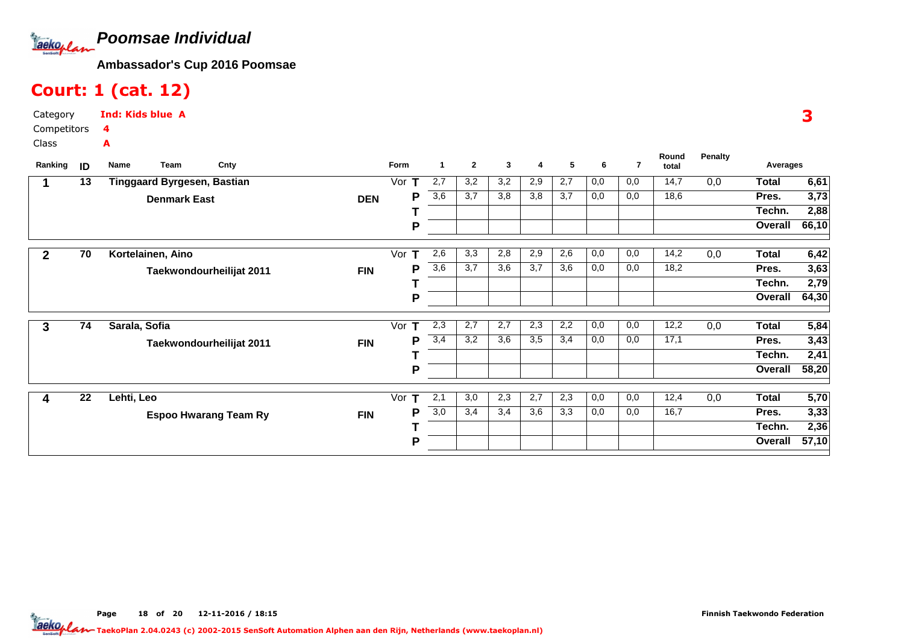

## Court: 1 (cat. 12)

A

| <b>Ind: Kids blue A</b> |  |
|-------------------------|--|
| $\overline{\mathbf{A}}$ |  |

 CompetitorsClass

Category

| Ranking      | ID | Name          | Team                               | Cnty                         |            | Form | -1                | $\mathbf{2}$ | 3   | 4   | 5   | 6   | 7   | Round<br>total | <b>Penalty</b> | Averages     |                   |
|--------------|----|---------------|------------------------------------|------------------------------|------------|------|-------------------|--------------|-----|-----|-----|-----|-----|----------------|----------------|--------------|-------------------|
|              | 13 |               | <b>Tinggaard Byrgesen, Bastian</b> |                              |            | Vor  | $\overline{2}$ ,7 | 3,2          | 3,2 | 2,9 | 2,7 | 0,0 | 0,0 | 14,7           | 0,0            | <b>Total</b> | 6,61              |
|              |    |               | <b>Denmark East</b>                |                              | <b>DEN</b> | Ρ    | $\overline{3,6}$  | 3,7          | 3,8 | 3,8 | 3,7 | 0,0 | 0,0 | 18,6           |                | Pres.        | 3,73              |
|              |    |               |                                    |                              |            |      |                   |              |     |     |     |     |     |                |                | Techn.       | 2,88              |
|              |    |               |                                    |                              |            | Ρ    |                   |              |     |     |     |     |     |                |                | Overall      | 66,10             |
| $\mathbf{2}$ | 70 |               | Kortelainen, Aino                  |                              |            | Vor  | 2,6               | 3,3          | 2,8 | 2,9 | 2,6 | 0,0 | 0,0 | 14,2           | 0,0            | <b>Total</b> | 6,42              |
|              |    |               |                                    | Taekwondourheilijat 2011     | <b>FIN</b> | Ρ    | 3,6               | 3,7          | 3,6 | 3,7 | 3,6 | 0,0 | 0,0 | 18,2           |                | Pres.        | 3,63              |
|              |    |               |                                    |                              |            |      |                   |              |     |     |     |     |     |                |                | Techn.       | 2,79              |
|              |    |               |                                    |                              |            | P    |                   |              |     |     |     |     |     |                |                | Overall      | 64,30             |
| 3            | 74 | Sarala, Sofia |                                    |                              |            | Vor  | 2,3               | 2,7          | 2,7 | 2,3 | 2,2 | 0,0 | 0,0 | 12,2           | 0,0            | <b>Total</b> | 5,84              |
|              |    |               |                                    | Taekwondourheilijat 2011     | <b>FIN</b> | Ρ    | 3,4               | 3,2          | 3,6 | 3,5 | 3,4 | 0,0 | 0,0 | 17,1           |                | Pres.        | 3,43              |
|              |    |               |                                    |                              |            |      |                   |              |     |     |     |     |     |                |                | Techn.       | 2,41              |
|              |    |               |                                    |                              |            | Ρ    |                   |              |     |     |     |     |     |                |                | Overall      | 58,20             |
| 4            | 22 | Lehti, Leo    |                                    |                              |            | Vor  | 2,1               | 3,0          | 2,3 | 2,7 | 2,3 | 0,0 | 0,0 | 12,4           | 0,0            | <b>Total</b> | $\overline{5,70}$ |
|              |    |               |                                    | <b>Espoo Hwarang Team Ry</b> | <b>FIN</b> | Ρ    | 3,0               | 3,4          | 3,4 | 3,6 | 3,3 | 0,0 | 0,0 | 16,7           |                | Pres.        | 3,33              |
|              |    |               |                                    |                              |            |      |                   |              |     |     |     |     |     |                |                | Techn.       | 2,36              |
|              |    |               |                                    |                              |            | Ρ    |                   |              |     |     |     |     |     |                |                | Overall      | 57,10             |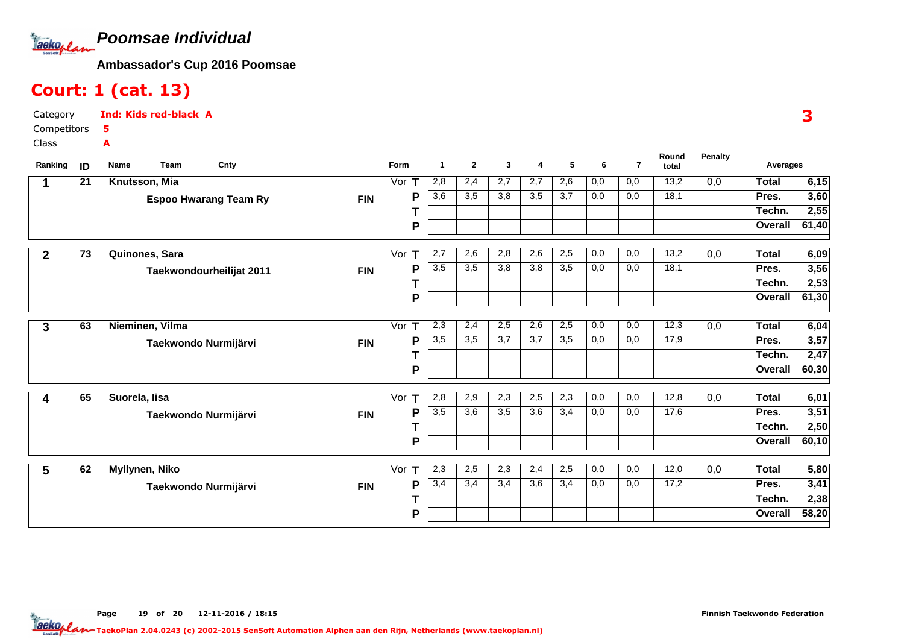

## Court: 1 (cat. 13)

| Category    | <b>Ind: Kids red-black A</b> |
|-------------|------------------------------|
| Competitors | - 5                          |
| Class       | А                            |

| Ranking      | ID              | Cnty<br>Name<br><b>Team</b>  |            | Form     | -1               | $\mathbf{2}$ | 3   | 4                | 5   | 6   | $\overline{7}$ | Round<br>total | <b>Penalty</b> | Averages     |       |
|--------------|-----------------|------------------------------|------------|----------|------------------|--------------|-----|------------------|-----|-----|----------------|----------------|----------------|--------------|-------|
|              | $\overline{21}$ | Knutsson, Mia                |            | Vor $T$  | 2,8              | 2,4          | 2,7 | 2,7              | 2,6 | 0,0 | 0,0            | 13,2           | 0,0            | <b>Total</b> | 6,15  |
|              |                 | <b>Espoo Hwarang Team Ry</b> | <b>FIN</b> | P        | $\overline{3,6}$ | 3,5          | 3,8 | 3,5              | 3,7 | 0,0 | 0,0            | 18,1           |                | Pres.        | 3,60  |
|              |                 |                              |            |          |                  |              |     |                  |     |     |                |                |                | Techn.       | 2,55  |
|              |                 |                              |            | P        |                  |              |     |                  |     |     |                |                |                | Overall      | 61,40 |
| $\mathbf{2}$ | $\overline{73}$ | Quinones, Sara               |            | Vor T    | 2,7              | 2,6          | 2,8 | 2,6              | 2,5 | 0,0 | 0,0            | 13,2           | 0,0            | <b>Total</b> | 6,09  |
|              |                 | Taekwondourheilijat 2011     | <b>FIN</b> | Р        | $\overline{3,5}$ | 3,5          | 3,8 | $\overline{3,8}$ | 3,5 | 0,0 | 0,0            | 18,1           |                | Pres.        | 3,56  |
|              |                 |                              |            |          |                  |              |     |                  |     |     |                |                |                | Techn.       | 2,53  |
|              |                 |                              |            | P        |                  |              |     |                  |     |     |                |                |                | Overall      | 61,30 |
| 3            | 63              | Nieminen, Vilma              |            | Vor T    | 2,3              | 2,4          | 2,5 | 2,6              | 2,5 | 0,0 | 0,0            | 12,3           | 0,0            | <b>Total</b> | 6,04  |
|              |                 | Taekwondo Nurmijärvi         | <b>FIN</b> | P        | 3,5              | 3,5          | 3,7 | 3,7              | 3,5 | 0,0 | 0,0            | 17,9           |                | Pres.        | 3,57  |
|              |                 |                              |            |          |                  |              |     |                  |     |     |                |                |                | Techn.       | 2,47  |
|              |                 |                              |            | P        |                  |              |     |                  |     |     |                |                |                | Overall      | 60,30 |
| 4            | 65              | Suorela, lisa                |            | Vor $T$  | 2,8              | 2,9          | 2,3 | 2,5              | 2,3 | 0,0 | 0,0            | 12,8           | 0,0            | <b>Total</b> | 6,01  |
|              |                 | Taekwondo Nurmijärvi         | <b>FIN</b> | P        | $\overline{3,5}$ | 3,6          | 3,5 | 3,6              | 3,4 | 0,0 | 0,0            | 17,6           |                | Pres.        | 3,51  |
|              |                 |                              |            |          |                  |              |     |                  |     |     |                |                |                | Techn.       | 2,50  |
|              |                 |                              |            | P        |                  |              |     |                  |     |     |                |                |                | Overall      | 60,10 |
| 5            | 62              | Myllynen, Niko               |            | Vor<br>т | 2,3              | 2,5          | 2,3 | 2,4              | 2,5 | 0,0 | 0,0            | 12,0           | 0,0            | Total        | 5,80  |
|              |                 | Taekwondo Nurmijärvi         | <b>FIN</b> | P        | 3,4              | 3,4          | 3,4 | 3,6              | 3,4 | 0,0 | 0,0            | 17,2           |                | Pres.        | 3,41  |
|              |                 |                              |            |          |                  |              |     |                  |     |     |                |                |                | Techn.       | 2,38  |
|              |                 |                              |            | P        |                  |              |     |                  |     |     |                |                |                | Overall      | 58,20 |

Page 19 of 20 12-11-2016 / 18:15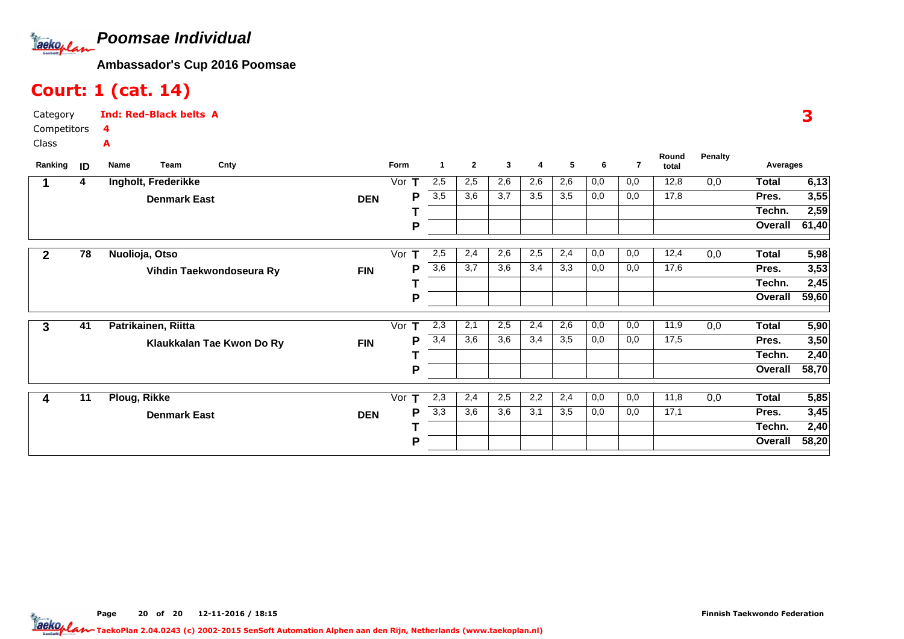

## Court: 1 (cat. 14)

| Category    | <b>Ind: Red-Black belts A</b> |
|-------------|-------------------------------|
| Competitors |                               |
| Class       | А                             |

| Ranking      | ID | Name         | Team                | Cnty                      |            | Form     | 1                | $\mathbf{2}$ | 3   | 4   | 5   | 6   | $\overline{7}$ | Round<br>total | Penalty | Averages     |       |
|--------------|----|--------------|---------------------|---------------------------|------------|----------|------------------|--------------|-----|-----|-----|-----|----------------|----------------|---------|--------------|-------|
|              | 4  |              | Ingholt, Frederikke |                           |            | Vor $T$  | 2,5              | 2,5          | 2,6 | 2,6 | 2,6 | 0,0 | 0,0            | 12,8           | 0,0     | <b>Total</b> | 6,13  |
|              |    |              | <b>Denmark East</b> |                           | <b>DEN</b> | P        | 3,5              | 3,6          | 3,7 | 3,5 | 3,5 | 0,0 | 0,0            | 17,8           |         | Pres.        | 3,55  |
|              |    |              |                     |                           |            |          |                  |              |     |     |     |     |                |                |         | Techn.       | 2,59  |
|              |    |              |                     |                           |            | P        |                  |              |     |     |     |     |                |                |         | Overall      | 61,40 |
| $\mathbf{2}$ | 78 |              | Nuolioja, Otso      |                           |            | т<br>Vor | 2,5              | 2,4          | 2,6 | 2,5 | 2,4 | 0,0 | 0,0            | 12,4           | 0,0     | <b>Total</b> | 5,98  |
|              |    |              |                     | Vihdin Taekwondoseura Ry  | <b>FIN</b> | Р        | 3,6              | 3,7          | 3,6 | 3,4 | 3,3 | 0,0 | 0,0            | 17,6           |         | Pres.        | 3,53  |
|              |    |              |                     |                           |            |          |                  |              |     |     |     |     |                |                |         | Techn.       | 2,45  |
|              |    |              |                     |                           |            | P        |                  |              |     |     |     |     |                |                |         | Overall      | 59,60 |
| 3            | 41 |              | Patrikainen, Riitta |                           |            | Vor $T$  | 2,3              | 2,1          | 2,5 | 2,4 | 2,6 | 0,0 | 0,0            | 11,9           | 0,0     | Total        | 5,90  |
|              |    |              |                     | Klaukkalan Tae Kwon Do Ry | <b>FIN</b> | Р        | 3,4              | 3,6          | 3,6 | 3,4 | 3,5 | 0,0 | 0,0            | 17,5           |         | Pres.        | 3,50  |
|              |    |              |                     |                           |            |          |                  |              |     |     |     |     |                |                |         | Techn.       | 2,40  |
|              |    |              |                     |                           |            | P        |                  |              |     |     |     |     |                |                |         | Overall      | 58,70 |
| 4            | 11 | Ploug, Rikke |                     |                           |            | т<br>Vor | 2,3              | 2,4          | 2,5 | 2,2 | 2,4 | 0,0 | 0,0            | 11,8           | 0,0     | <b>Total</b> | 5,85  |
|              |    |              |                     |                           |            | Р        | $\overline{3,3}$ | 3,6          | 3,6 | 3,1 | 3,5 | 0,0 | 0,0            | 17,1           |         | Pres.        | 3,45  |
|              |    |              | <b>Denmark East</b> |                           | <b>DEN</b> |          |                  |              |     |     |     |     |                |                |         | Techn.       | 2,40  |
|              |    |              |                     |                           |            | P        |                  |              |     |     |     |     |                |                |         | Overall      | 58,20 |
|              |    |              |                     |                           |            |          |                  |              |     |     |     |     |                |                |         |              |       |

Page 20 of 20 12-11-2016 / 18:15 20 of 20 12-11-2016 / 18:1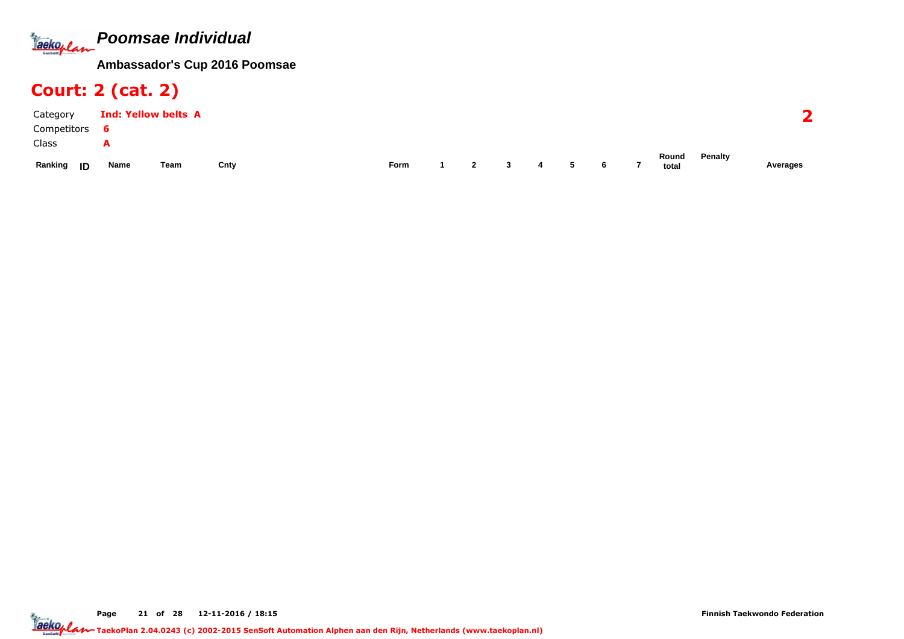

## Court: 2 (cat. 2)

| Category      | <b>Ind: Yellow belts A</b> |      |      |      |                |              |   |   |   |                |                |         |          |
|---------------|----------------------------|------|------|------|----------------|--------------|---|---|---|----------------|----------------|---------|----------|
| Competitors   | ь                          |      |      |      |                |              |   |   |   |                |                |         |          |
| Class         | A                          |      |      |      |                |              |   |   |   |                |                |         |          |
| Ranking<br>ID | Name                       | Team | Cnty | Form | $\overline{2}$ | $\mathbf{3}$ | 4 | 5 | 6 | $\overline{7}$ | Round<br>total | Penalty | Averages |

Page 21 of 28 12-11-2016 / 18:15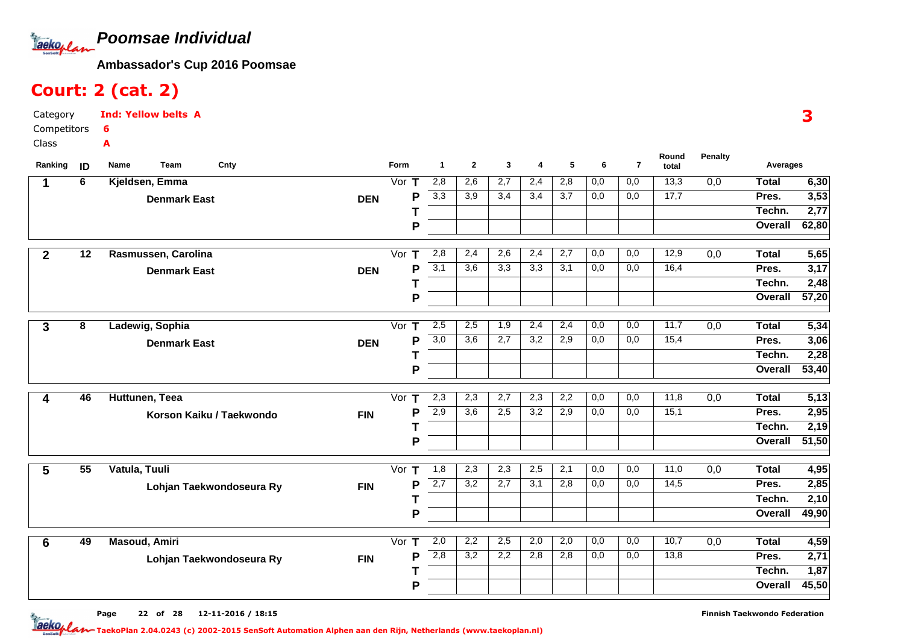

## Court: 2 (cat. 2)

| Category      | <b>Ind: Yellow belts A</b> |
|---------------|----------------------------|
| Competitors 6 |                            |
| Class         |                            |

| Ranking                 | ID              | Team<br>Cnty<br>Name     |            | Form               | $\mathbf{1}$     | $\mathbf{2}$     | 3                | 4                | 5                | 6   | $\overline{7}$ | Round<br>total    | <b>Penalty</b>   | Averages     |                   |
|-------------------------|-----------------|--------------------------|------------|--------------------|------------------|------------------|------------------|------------------|------------------|-----|----------------|-------------------|------------------|--------------|-------------------|
| 1                       | 6               | Kjeldsen, Emma           |            | Vor $T$            | 2,8              | 2,6              | 2,7              | 2,4              | 2,8              | 0,0 | 0,0            | 13,3              | $\overline{0,0}$ | <b>Total</b> | 6,30              |
|                         |                 | <b>Denmark East</b>      | <b>DEN</b> | P                  | 3,3              | 3,9              | 3,4              | 3,4              | 3,7              | 0,0 | 0,0            | 17,7              |                  | Pres.        | 3,53              |
|                         |                 |                          |            |                    |                  |                  |                  |                  |                  |     |                |                   |                  | Techn.       | 2,77              |
|                         |                 |                          |            | P                  |                  |                  |                  |                  |                  |     |                |                   |                  | Overall      | 62,80             |
| $\overline{2}$          | $\overline{12}$ | Rasmussen, Carolina      |            | Vor<br>$\mathbf T$ | 2,8              | $\overline{2,4}$ | $\overline{2,6}$ | 2,4              | $\overline{2,7}$ | 0,0 | 0,0            | 12,9              | 0,0              | <b>Total</b> | $\overline{5,65}$ |
|                         |                 | <b>Denmark East</b>      | <b>DEN</b> | P                  | 3,1              | 3,6              | 3,3              | 3,3              | 3,1              | 0,0 | 0,0            | 16,4              |                  | Pres.        | 3,17              |
|                         |                 |                          |            | т                  |                  |                  |                  |                  |                  |     |                |                   |                  | Techn.       | 2,48              |
|                         |                 |                          |            | P                  |                  |                  |                  |                  |                  |     |                |                   |                  | Overall      | 57,20             |
| 3                       | 8               | Ladewig, Sophia          |            | Vor $T$            | 2,5              | 2,5              | 1,9              | 2,4              | 2,4              | 0,0 | 0,0            | 11,7              | $\overline{0,0}$ | <b>Total</b> | 5,34              |
|                         |                 | <b>Denmark East</b>      | <b>DEN</b> | P                  | $\overline{3,0}$ | $\overline{3,6}$ | 2,7              | $\overline{3,2}$ | 2,9              | 0,0 | 0,0            | 15,4              |                  | Pres.        | 3,06              |
|                         |                 |                          |            |                    |                  |                  |                  |                  |                  |     |                |                   |                  | Techn.       | 2,28              |
|                         |                 |                          |            | P                  |                  |                  |                  |                  |                  |     |                |                   |                  | Overall      | 53,40             |
| $\overline{\mathbf{4}}$ | 46              | Huttunen, Teea           |            | Vor $T$            | 2,3              | 2,3              | 2,7              | 2,3              | 2,2              | 0,0 | 0,0            | 11,8              | 0,0              | <b>Total</b> | 5,13              |
|                         |                 |                          |            | P                  | 2,9              | $\overline{3,6}$ | 2,5              | $\overline{3,2}$ | 2,9              | 0,0 | 0,0            | 15,1              |                  | Pres.        | 2,95              |
|                         |                 | Korson Kaiku / Taekwondo | <b>FIN</b> |                    |                  |                  |                  |                  |                  |     |                |                   |                  | Techn.       | 2,19              |
|                         |                 |                          |            | P                  |                  |                  |                  |                  |                  |     |                |                   |                  | Overall      | 51,50             |
|                         | $\overline{55}$ | Vatula, Tuuli            |            | Vor $T$            | 1,8              | 2,3              | 2,3              | 2,5              | 2,1              | 0,0 | 0,0            | $\overline{11,0}$ | 0,0              | <b>Total</b> | 4,95              |
| 5                       |                 |                          |            | P                  | $\overline{2,7}$ | 3,2              | 2,7              | 3,1              | 2,8              | 0,0 | 0,0            | 14,5              |                  | Pres.        | 2,85              |
|                         |                 | Lohjan Taekwondoseura Ry | <b>FIN</b> |                    |                  |                  |                  |                  |                  |     |                |                   |                  | Techn.       | 2,10              |
|                         |                 |                          |            | P                  |                  |                  |                  |                  |                  |     |                |                   |                  | Overall      | 49,90             |
|                         |                 |                          |            |                    |                  |                  |                  |                  |                  |     |                |                   |                  |              |                   |
| 6                       | 49              | <b>Masoud, Amiri</b>     |            | Vor $T$            | 2,0              | 2,2              | 2,5              | 2,0              | 2,0              | 0,0 | 0,0            | 10,7              | 0,0              | <b>Total</b> | 4,59              |
|                         |                 | Lohjan Taekwondoseura Ry | <b>FIN</b> | P                  | 2,8              | 3,2              | 2,2              | 2,8              | 2,8              | 0,0 | 0,0            | 13,8              |                  | Pres.        | 2,71              |
|                         |                 |                          |            |                    |                  |                  |                  |                  |                  |     |                |                   |                  | Techn.       | 1,87              |
|                         |                 |                          |            | P                  |                  |                  |                  |                  |                  |     |                |                   |                  | Overall      | 45,50             |

3

Page 22 of 28 12-11-2016 / 18:15 22 of 28 12-11-2016/18:1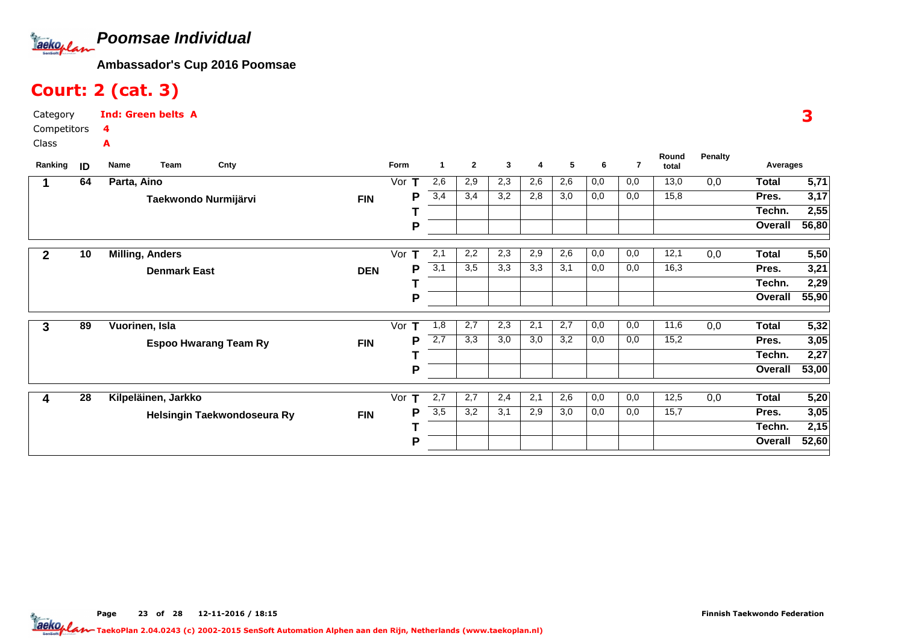

#### Court: 2 (cat. 3)

3

Category CompetitorsClassInd: Green belts A4A

| Ranking      | ID | <b>Team</b><br>Name    | Cnty                         |            | Form               | -1  | $\mathbf{2}$ | 3   | 4   | 5   | 6   | $\overline{7}$ | Round<br>total | <b>Penalty</b> | Averages     |                   |
|--------------|----|------------------------|------------------------------|------------|--------------------|-----|--------------|-----|-----|-----|-----|----------------|----------------|----------------|--------------|-------------------|
|              | 64 | Parta, Aino            |                              |            | Vor                | 2,6 | 2,9          | 2,3 | 2,6 | 2,6 | 0,0 | 0,0            | 13,0           | 0,0            | <b>Total</b> | 5,71              |
|              |    | Taekwondo Nurmijärvi   |                              | <b>FIN</b> | Р                  | 3,4 | 3,4          | 3,2 | 2,8 | 3,0 | 0,0 | 0,0            | 15,8           |                | Pres.        | 3,17              |
|              |    |                        |                              |            |                    |     |              |     |     |     |     |                |                |                | Techn.       | 2,55              |
|              |    |                        |                              |            | Р                  |     |              |     |     |     |     |                |                |                | Overall      | 56,80             |
| $\mathbf{2}$ | 10 | <b>Milling, Anders</b> |                              |            | Vor<br>т           | 2,1 | 2,2          | 2,3 | 2,9 | 2,6 | 0,0 | 0,0            | 12,1           | 0,0            | <b>Total</b> | $\overline{5,50}$ |
|              |    | <b>Denmark East</b>    |                              | <b>DEN</b> | Р                  | 3,1 | 3,5          | 3,3 | 3,3 | 3,1 | 0,0 | 0,0            | 16,3           |                | Pres.        | 3,21              |
|              |    |                        |                              |            |                    |     |              |     |     |     |     |                |                |                | Techn.       | 2,29              |
|              |    |                        |                              |            | P                  |     |              |     |     |     |     |                |                |                | Overall      | 55,90             |
| 3            | 89 | Vuorinen, Isla         |                              |            | $\mathbf T$<br>Vor | 1,8 | 2,7          | 2,3 | 2,1 | 2,7 | 0,0 | 0,0            | 11,6           | 0,0            | <b>Total</b> | 5,32              |
|              |    |                        | <b>Espoo Hwarang Team Ry</b> | <b>FIN</b> | P                  | 2,7 | 3,3          | 3,0 | 3,0 | 3,2 | 0,0 | 0,0            | 15,2           |                | Pres.        | 3,05              |
|              |    |                        |                              |            |                    |     |              |     |     |     |     |                |                |                | Techn.       | 2,27              |
|              |    |                        |                              |            | Р                  |     |              |     |     |     |     |                |                |                | Overall      | 53,00             |
| 4            | 28 | Kilpeläinen, Jarkko    |                              |            | т<br>Vor           | 2,7 | 2,7          | 2,4 | 2,1 | 2,6 | 0,0 | 0,0            | 12,5           | 0,0            | <b>Total</b> | $\overline{5,20}$ |
|              |    |                        | Helsingin Taekwondoseura Ry  | <b>FIN</b> | Р                  | 3,5 | 3,2          | 3,1 | 2,9 | 3,0 | 0,0 | 0,0            | 15,7           |                | Pres.        | 3,05              |
|              |    |                        |                              |            |                    |     |              |     |     |     |     |                |                |                | Techn.       | 2,15              |
|              |    |                        |                              |            | Р                  |     |              |     |     |     |     |                |                |                | Overall      | 52,60             |
|              |    |                        |                              |            |                    |     |              |     |     |     |     |                |                |                |              |                   |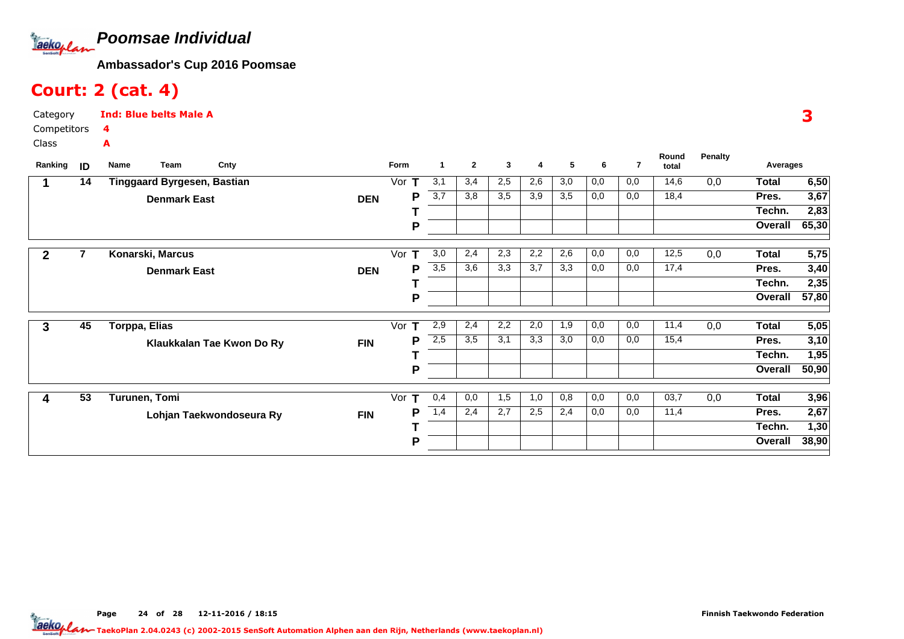

## Court: 2 (cat. 4)

| Category      | <b>Ind: Blue belts Male A</b> |
|---------------|-------------------------------|
| Competitors 4 |                               |
| Class         |                               |

| Ranking | ID | Name          | Team                        | Cnty                      |            | Form     | $\blacktriangleleft$ | $\mathbf{2}$ | 3   | 4   | 5   | 6   | 7   | Round<br>total | Penalty | Averages     |       |
|---------|----|---------------|-----------------------------|---------------------------|------------|----------|----------------------|--------------|-----|-----|-----|-----|-----|----------------|---------|--------------|-------|
|         | 14 |               | Tinggaard Byrgesen, Bastian |                           |            | Vor      | 3,1                  | 3,4          | 2,5 | 2,6 | 3,0 | 0,0 | 0,0 | 14,6           | 0,0     | <b>Total</b> | 6,50  |
|         |    |               | <b>Denmark East</b>         |                           | <b>DEN</b> | Р        | $\overline{3,7}$     | 3,8          | 3,5 | 3,9 | 3,5 | 0,0 | 0,0 | 18,4           |         | Pres.        | 3,67  |
|         |    |               |                             |                           |            |          |                      |              |     |     |     |     |     |                |         | Techn.       | 2,83  |
|         |    |               |                             |                           |            | P        |                      |              |     |     |     |     |     |                |         | Overall      | 65,30 |
| 2       |    |               | Konarski, Marcus            |                           |            | Vor      | 3,0                  | 2,4          | 2,3 | 2,2 | 2,6 | 0,0 | 0,0 | 12,5           | 0,0     | Total        | 5,75  |
|         |    |               | <b>Denmark East</b>         |                           | <b>DEN</b> | Р        | 3,5                  | 3,6          | 3,3 | 3,7 | 3,3 | 0,0 | 0,0 | 17,4           |         | Pres.        | 3,40  |
|         |    |               |                             |                           |            |          |                      |              |     |     |     |     |     |                |         | Techn.       | 2,35  |
|         |    |               |                             |                           |            | P        |                      |              |     |     |     |     |     |                |         | Overall      | 57,80 |
| 3       | 45 | Torppa, Elias |                             |                           |            | Vor      | 2,9                  | 2,4          | 2,2 | 2,0 | 1,9 | 0,0 | 0,0 | 11,4           | 0,0     | <b>Total</b> | 5,05  |
|         |    |               |                             | Klaukkalan Tae Kwon Do Ry | <b>FIN</b> | Р        | 2,5                  | 3,5          | 3,1 | 3,3 | 3,0 | 0,0 | 0,0 | 15,4           |         | Pres.        | 3,10  |
|         |    |               |                             |                           |            |          |                      |              |     |     |     |     |     |                |         | Techn.       | 1,95  |
|         |    |               |                             |                           |            | P        |                      |              |     |     |     |     |     |                |         | Overall      | 50,90 |
| 4       | 53 |               | Turunen, Tomi               |                           |            | т<br>Vor | 0,4                  | 0,0          | 1,5 | 1,0 | 0,8 | 0,0 | 0,0 | 03,7           | 0,0     | <b>Total</b> | 3,96  |
|         |    |               |                             | Lohjan Taekwondoseura Ry  | <b>FIN</b> | Р        | 1,4                  | 2,4          | 2,7 | 2,5 | 2,4 | 0,0 | 0,0 | 11,4           |         | Pres.        | 2,67  |
|         |    |               |                             |                           |            |          |                      |              |     |     |     |     |     |                |         | Techn.       | 1,30  |
|         |    |               |                             |                           |            | P        |                      |              |     |     |     |     |     |                |         | Overall      | 38,90 |

3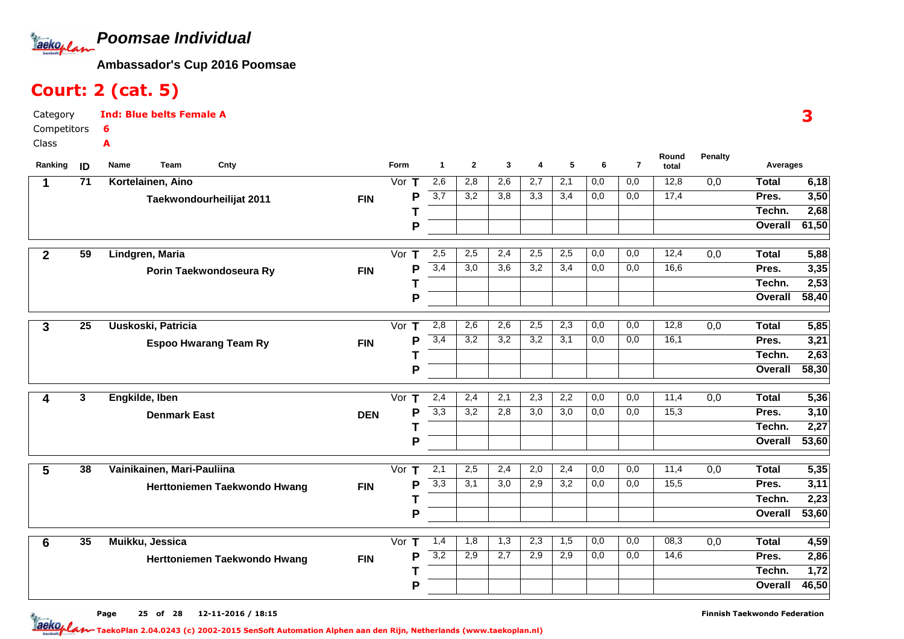

## Court: 2 (cat. 5)

| Category     | <b>Ind: Blue belts Female A</b> |
|--------------|---------------------------------|
| Competitors  |                                 |
| <b>Class</b> | А                               |

| Ranking         | ID              | Team<br>Cnty<br>Name         |            | Form    | $\mathbf 1$      | $\mathbf{2}$ | 3                | 4                | 5   | 6   | $\overline{7}$   | Round<br>total | <b>Penalty</b>   | Averages     |                   |
|-----------------|-----------------|------------------------------|------------|---------|------------------|--------------|------------------|------------------|-----|-----|------------------|----------------|------------------|--------------|-------------------|
| 1               | $\overline{71}$ | Kortelainen, Aino            |            | Vor $T$ | 2,6              | 2,8          | 2,6              | 2,7              | 2,1 | 0,0 | 0,0              | 12,8           | $\overline{0,0}$ | <b>Total</b> | 6,18              |
|                 |                 | Taekwondourheilijat 2011     | <b>FIN</b> | P       | 3,7              | 3,2          | 3,8              | 3,3              | 3,4 | 0,0 | 0,0              | 17,4           |                  | Pres.        | 3,50              |
|                 |                 |                              |            |         |                  |              |                  |                  |     |     |                  |                |                  | Techn.       | 2,68              |
|                 |                 |                              |            | P       |                  |              |                  |                  |     |     |                  |                |                  | Overall      | 61,50             |
| $\mathbf{2}$    | 59              | Lindgren, Maria              |            | Vor $T$ | 2,5              | 2,5          | 2,4              | 2,5              | 2,5 | 0,0 | 0,0              | 12,4           | 0,0              | <b>Total</b> | 5,88              |
|                 |                 | Porin Taekwondoseura Ry      | <b>FIN</b> | P       | 3,4              | 3,0          | $\overline{3,6}$ | 3,2              | 3,4 | 0,0 | 0,0              | 16,6           |                  | Pres.        | 3,35              |
|                 |                 |                              |            |         |                  |              |                  |                  |     |     |                  |                |                  | Techn.       | 2,53              |
|                 |                 |                              |            | P       |                  |              |                  |                  |     |     |                  |                |                  | Overall      | 58,40             |
|                 | $\overline{25}$ | Uuskoski, Patricia           |            | Vor $T$ | 2,8              | 2,6          | 2,6              | 2,5              | 2,3 | 0,0 | 0,0              | 12,8           | 0,0              | <b>Total</b> | 5,85              |
| 3               |                 |                              |            | P       | 3,4              | 3,2          | $\overline{3,2}$ | 3,2              | 3,1 | 0,0 | 0,0              | 16,1           |                  | Pres.        | 3,21              |
|                 |                 | <b>Espoo Hwarang Team Ry</b> | <b>FIN</b> |         |                  |              |                  |                  |     |     |                  |                |                  | Techn.       | 2,63              |
|                 |                 |                              |            | P       |                  |              |                  |                  |     |     |                  |                |                  | Overall      | 58,30             |
|                 |                 |                              |            |         |                  |              |                  |                  |     |     |                  |                |                  |              |                   |
| 4               | $\mathbf{3}$    | Engkilde, Iben               |            | Vor $T$ | 2,4              | 2,4          | 2,1              | 2,3              | 2,2 | 0,0 | 0,0              | 11,4           | 0,0              | <b>Total</b> | $\overline{5,36}$ |
|                 |                 | <b>Denmark East</b>          | <b>DEN</b> | P       | $\overline{3,3}$ | 3,2          | 2,8              | $\overline{3,0}$ | 3,0 | 0,0 | 0,0              | 15,3           |                  | Pres.        | 3,10              |
|                 |                 |                              |            |         |                  |              |                  |                  |     |     |                  |                |                  | Techn.       | 2,27              |
|                 |                 |                              |            | P       |                  |              |                  |                  |     |     |                  |                |                  | Overall      | 53,60             |
| $5\overline{5}$ | 38              | Vainikainen, Mari-Pauliina   |            | Vor $T$ | $\overline{2,1}$ | 2,5          | 2,4              | 2,0              | 2,4 | 0,0 | 0,0              | 11,4           | 0,0              | <b>Total</b> | 5,35              |
|                 |                 | Herttoniemen Taekwondo Hwang | <b>FIN</b> | P       | 3,3              | 3,1          | 3,0              | 2,9              | 3,2 | 0,0 | 0,0              | 15,5           |                  | Pres.        | 3,11              |
|                 |                 |                              |            |         |                  |              |                  |                  |     |     |                  |                |                  | Techn.       | 2,23              |
|                 |                 |                              |            | P       |                  |              |                  |                  |     |     |                  |                |                  | Overall      | 53,60             |
| 6               | 35              | Muikku, Jessica              |            | Vor $T$ | 1,4              | 1,8          | 1,3              | 2,3              | 1,5 | 0,0 | $\overline{0,0}$ | 08,3           | $\overline{0,0}$ | <b>Total</b> | 4,59              |
|                 |                 | Herttoniemen Taekwondo Hwang | <b>FIN</b> | P       | 3,2              | 2,9          | 2,7              | 2,9              | 2,9 | 0,0 | 0,0              | 14,6           |                  | Pres.        | 2,86              |
|                 |                 |                              |            |         |                  |              |                  |                  |     |     |                  |                |                  | Techn.       | $\overline{1,72}$ |
|                 |                 |                              |            | P       |                  |              |                  |                  |     |     |                  |                |                  | Overall      | 46,50             |
|                 |                 |                              |            |         |                  |              |                  |                  |     |     |                  |                |                  |              |                   |

3

Page 25 of 28 12-11-2016 / 18:15 25 of 28 12-11-2016/18:1

Finnish Taekwondo Federation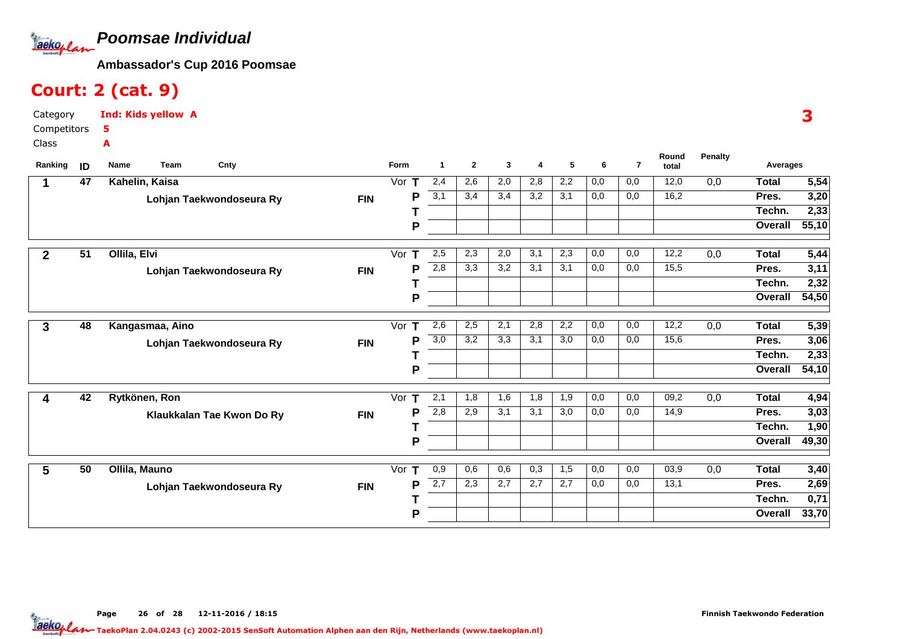**Poomsae Individual**Jackoplan

**Ambassador's Cup 2016 Poomsae**

## Court: 2 (cat. 9)

| Category      | <b>Ind: Kids yellow A</b> |
|---------------|---------------------------|
| Competitors 5 |                           |
| Class         | А                         |

| 47<br>Kahelin, Kaisa<br>2,4<br>2,6<br>2,2<br>0,0<br>0,0<br>12,0<br>Vor $T$<br>2,0<br>2,8<br>0,0                                          | 5,54<br>Total               |
|------------------------------------------------------------------------------------------------------------------------------------------|-----------------------------|
| 3,1<br>16,2<br>3,4<br>3,4<br>3,2<br>3,1<br>0,0<br>0,0<br>P<br><b>FIN</b><br>Lohjan Taekwondoseura Ry                                     | 3,20<br>Pres.               |
|                                                                                                                                          | 2,33<br>Techn.              |
| P                                                                                                                                        | 55,10<br>Overall            |
| $\overline{51}$<br>Ollila, Elvi<br>2,5<br>2,3<br>2,0<br>3,1<br>2,3<br>0,0<br>0,0<br>12,2<br>0,0<br>$\overline{2}$<br>Vor<br>$\mathbf{T}$ | 5,44<br><b>Total</b>        |
| 2,8<br>3,3<br>3,2<br>3,1<br>3,1<br>0,0<br>15,5<br>P<br>0,0                                                                               | 3,11<br>Pres.               |
| <b>FIN</b><br>Lohjan Taekwondoseura Ry                                                                                                   | 2,32<br>Techn.              |
| P                                                                                                                                        | 54,50<br>Overall            |
| 48<br>2,6<br>2,5<br>2,1<br>0,0<br>12,2<br>Vor $T$<br>2,8<br>2,2<br>0,0<br>0,0<br>3<br>Kangasmaa, Aino                                    | 5,39<br><b>Total</b>        |
| $\overline{3,0}$<br>15,6<br>3,2<br>3,1<br>0,0<br>3,3<br>3,0<br>0,0<br>P<br><b>FIN</b><br>Lohjan Taekwondoseura Ry                        | 3,06<br>Pres.               |
|                                                                                                                                          | $\overline{2,33}$<br>Techn. |
| P                                                                                                                                        | 54,10<br>Overall            |
| 2,1<br>0,0<br>0,0<br>42<br>Rytkönen, Ron<br>Vor $T$<br>1,8<br>1,6<br>1,8<br>1,9<br>09,2<br>0,0<br>4                                      | 4,94<br><b>Total</b>        |
| 2,8<br>2,9<br>3,1<br>3,1<br>3,0<br>0,0<br>14,9<br>P<br>0,0<br><b>FIN</b><br>Klaukkalan Tae Kwon Do Ry                                    | 3,03<br>Pres.               |
|                                                                                                                                          | 1,90<br>Techn.              |
| P                                                                                                                                        | 49,30<br>Overall            |
| 50<br>Ollila, Mauno<br>0,9<br>0,6<br>0,6<br>0,3<br>1,5<br>0,0<br>0,0<br>03,9<br>0,0<br>5<br>Vor $T$                                      | 3,40<br><b>Total</b>        |
| $\overline{2,7}$<br>2,3<br>2,7<br>13,1<br>P<br>2,7<br>2,7<br>0,0<br>0,0<br><b>FIN</b><br>Lohjan Taekwondoseura Ry                        | 2,69<br>Pres.               |
|                                                                                                                                          | 0,71<br>Techn.              |
| P                                                                                                                                        | 33,70<br>Overall            |

Page 26 of 28 12-11-2016 / 18:15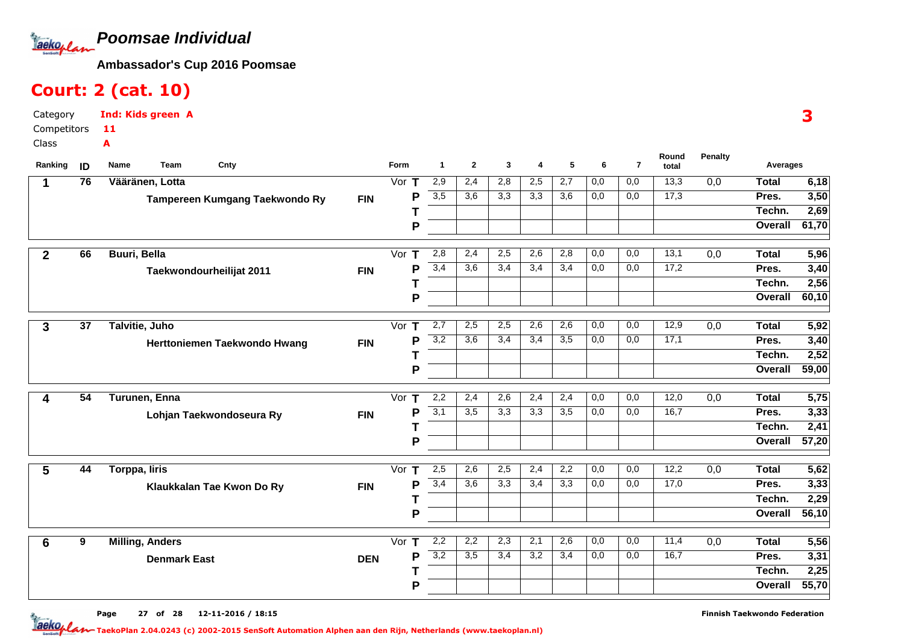**Poomsae Individual**Jackoplan

**Ambassador's Cup 2016 Poomsae**

## Court: 2 (cat. 10)

Category CompetitorsClassInd: Kids green A11A

| Ranking        | ID | Team<br>Cnty<br>Name           |            | Form               | $\blacktriangleleft$ | $\mathbf{2}$ | 3   | 4   | 5                | 6   | $\overline{7}$ | Round<br>total | <b>Penalty</b>   | Averages     |       |
|----------------|----|--------------------------------|------------|--------------------|----------------------|--------------|-----|-----|------------------|-----|----------------|----------------|------------------|--------------|-------|
| 1              | 76 | Vääränen, Lotta                |            | Vor $T$            | 2,9                  | 2,4          | 2,8 | 2,5 | 2,7              | 0,0 | 0,0            | 13,3           | 0,0              | <b>Total</b> | 6,18  |
|                |    | Tampereen Kumgang Taekwondo Ry | <b>FIN</b> | P                  | 3,5                  | 3,6          | 3,3 | 3,3 | $\overline{3,6}$ | 0,0 | 0,0            | 17,3           |                  | Pres.        | 3,50  |
|                |    |                                |            |                    |                      |              |     |     |                  |     |                |                |                  | Techn.       | 2,69  |
|                |    |                                |            | P                  |                      |              |     |     |                  |     |                |                |                  | Overall      | 61,70 |
| $\overline{2}$ | 66 | <b>Buuri, Bella</b>            |            | Vor<br>T           | 2,8                  | 2,4          | 2,5 | 2,6 | 2,8              | 0,0 | 0,0            | 13,1           | $\overline{0,0}$ | <b>Total</b> | 5,96  |
|                |    | Taekwondourheilijat 2011       | <b>FIN</b> | P                  | 3,4                  | 3,6          | 3,4 | 3,4 | 3,4              | 0,0 | 0,0            | 17,2           |                  | Pres.        | 3,40  |
|                |    |                                |            |                    |                      |              |     |     |                  |     |                |                |                  | Techn.       | 2,56  |
|                |    |                                |            | Р                  |                      |              |     |     |                  |     |                |                |                  | Overall      | 60,10 |
| 3              | 37 | Talvitie, Juho                 |            | Vor<br>$\mathbf T$ | 2,7                  | 2,5          | 2,5 | 2,6 | 2,6              | 0,0 | 0,0            | 12,9           | 0,0              | Total        | 5,92  |
|                |    | Herttoniemen Taekwondo Hwang   | <b>FIN</b> | Р                  | $\overline{3,2}$     | 3,6          | 3,4 | 3,4 | $\overline{3,5}$ | 0,0 | 0,0            | 17,1           |                  | Pres.        | 3,40  |
|                |    |                                |            |                    |                      |              |     |     |                  |     |                |                |                  | Techn.       | 2,52  |
|                |    |                                |            | P                  |                      |              |     |     |                  |     |                |                |                  | Overall      | 59,00 |
| 4              | 54 | Turunen, Enna                  |            | Vor<br>т           | 2,2                  | 2,4          | 2,6 | 2,4 | 2,4              | 0,0 | 0,0            | 12,0           | 0,0              | Total        | 5,75  |
|                |    | Lohjan Taekwondoseura Ry       | <b>FIN</b> | P                  | 3,1                  | 3,5          | 3,3 | 3,3 | 3,5              | 0,0 | 0,0            | 16,7           |                  | Pres.        | 3,33  |
|                |    |                                |            |                    |                      |              |     |     |                  |     |                |                |                  | Techn.       | 2,41  |
|                |    |                                |            | P                  |                      |              |     |     |                  |     |                |                |                  | Overall      | 57,20 |
| 5              | 44 | <b>Torppa, liris</b>           |            | Vor $T$            | 2,5                  | 2,6          | 2,5 | 2,4 | 2,2              | 0,0 | 0,0            | 12,2           | 0,0              | <b>Total</b> | 5,62  |
|                |    | Klaukkalan Tae Kwon Do Ry      | <b>FIN</b> | P                  | 3,4                  | 3,6          | 3,3 | 3,4 | 3,3              | 0,0 | 0,0            | 17,0           |                  | Pres.        | 3,33  |
|                |    |                                |            |                    |                      |              |     |     |                  |     |                |                |                  | Techn.       | 2,29  |
|                |    |                                |            | P                  |                      |              |     |     |                  |     |                |                |                  | Overall      | 56,10 |
| $6\phantom{1}$ | 9  | <b>Milling, Anders</b>         |            | Vor<br>т           | 2,2                  | 2,2          | 2,3 | 2,1 | 2,6              | 0,0 | 0,0            | 11,4           | 0,0              | <b>Total</b> | 5,56  |
|                |    | <b>Denmark East</b>            | <b>DEN</b> | P                  | $\overline{3,2}$     | 3,5          | 3,4 | 3,2 | $\overline{3,4}$ | 0,0 | 0,0            | 16,7           |                  | Pres.        | 3,31  |
|                |    |                                |            |                    |                      |              |     |     |                  |     |                |                |                  | Techn.       | 2,25  |
|                |    |                                |            | Р                  |                      |              |     |     |                  |     |                |                |                  | Overall      | 55,70 |
|                |    |                                |            |                    |                      |              |     |     |                  |     |                |                |                  |              |       |

3

Page 27 of 28 12-11-2016 / 18:15 27 of 28 12-11-2016/18:1

Finnish Taekwondo Federation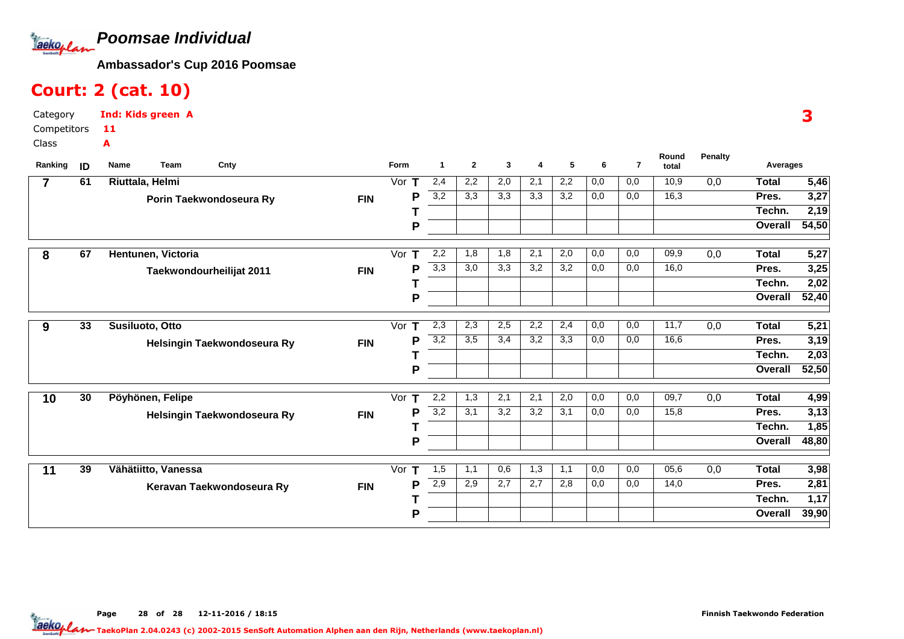**Poomsae Individual**Tackoplan

**Ambassador's Cup 2016 Poomsae**

## Court: 2 (cat. 10)

| Category     | <b>Ind: Kids green A</b> |
|--------------|--------------------------|
| Competitors  | -11                      |
| <b>Class</b> | А                        |

| Ranking        | ID              | Name<br><b>Team</b><br>Cnty |            | Form    | 1   | $\mathbf{2}$ | 3                | 4   | 5   | 6   | $\overline{7}$ | Round<br>total | <b>Penalty</b> | Averages     |                   |
|----------------|-----------------|-----------------------------|------------|---------|-----|--------------|------------------|-----|-----|-----|----------------|----------------|----------------|--------------|-------------------|
| $\overline{7}$ | 61              | Riuttala, Helmi             |            | Vor $T$ | 2,4 | 2,2          | 2,0              | 2,1 | 2,2 | 0,0 | 0,0            | 10,9           | 0,0            | <b>Total</b> | $\overline{5,46}$ |
|                |                 | Porin Taekwondoseura Ry     | <b>FIN</b> | P       | 3,2 | 3,3          | 3,3              | 3,3 | 3,2 | 0,0 | 0,0            | 16,3           |                | Pres.        | 3,27              |
|                |                 |                             |            |         |     |              |                  |     |     |     |                |                |                | Techn.       | 2,19              |
|                |                 |                             |            | P       |     |              |                  |     |     |     |                |                |                | Overall      | 54,50             |
| 8              | 67              | Hentunen, Victoria          |            | Vor $T$ | 2,2 | 1,8          | 1,8              | 2,1 | 2,0 | 0,0 | 0,0            | 09,9           | 0,0            | <b>Total</b> | 5,27              |
|                |                 | Taekwondourheilijat 2011    | <b>FIN</b> | P       | 3,3 | 3,0          | 3,3              | 3,2 | 3,2 | 0,0 | 0,0            | 16,0           |                | Pres.        | 3,25              |
|                |                 |                             |            |         |     |              |                  |     |     |     |                |                |                | Techn.       | 2,02              |
|                |                 |                             |            | P       |     |              |                  |     |     |     |                |                |                | Overall      | 52,40             |
| 9              | $\overline{33}$ | Susiluoto, Otto             |            | Vor $T$ | 2,3 | 2,3          | 2,5              | 2,2 | 2,4 | 0,0 | 0,0            | 11,7           | 0,0            | <b>Total</b> | 5,21              |
|                |                 | Helsingin Taekwondoseura Ry | <b>FIN</b> | P       | 3,2 | 3,5          | 3,4              | 3,2 | 3,3 | 0,0 | 0,0            | 16,6           |                | Pres.        | 3,19              |
|                |                 |                             |            |         |     |              |                  |     |     |     |                |                |                | Techn.       | 2,03              |
|                |                 |                             |            | P       |     |              |                  |     |     |     |                |                |                | Overall      | 52,50             |
| 10             | 30              | Pöyhönen, Felipe            |            | Vor T   | 2,2 | 1,3          | $\overline{2,1}$ | 2,1 | 2,0 | 0,0 | 0,0            | 09,7           | 0,0            | <b>Total</b> | 4,99              |
|                |                 | Helsingin Taekwondoseura Ry | <b>FIN</b> | P       | 3,2 | 3,1          | 3,2              | 3,2 | 3,1 | 0,0 | 0,0            | 15,8           |                | Pres.        | 3,13              |
|                |                 |                             |            |         |     |              |                  |     |     |     |                |                |                | Techn.       | 1,85              |
|                |                 |                             |            | P       |     |              |                  |     |     |     |                |                |                | Overall      | 48,80             |
| 11             | 39              | Vähätiitto, Vanessa         |            | Vor $T$ | 1,5 | 1,1          | 0,6              | 1,3 | 1,1 | 0,0 | 0,0            | 05,6           | 0,0            | <b>Total</b> | 3,98              |
|                |                 | Keravan Taekwondoseura Ry   | <b>FIN</b> | P       | 2,9 | 2,9          | 2,7              | 2,7 | 2,8 | 0,0 | 0,0            | 14,0           |                | Pres.        | 2,81              |
|                |                 |                             |            |         |     |              |                  |     |     |     |                |                |                | Techn.       | 1,17              |
|                |                 |                             |            | P       |     |              |                  |     |     |     |                |                |                | Overall      | 39,90             |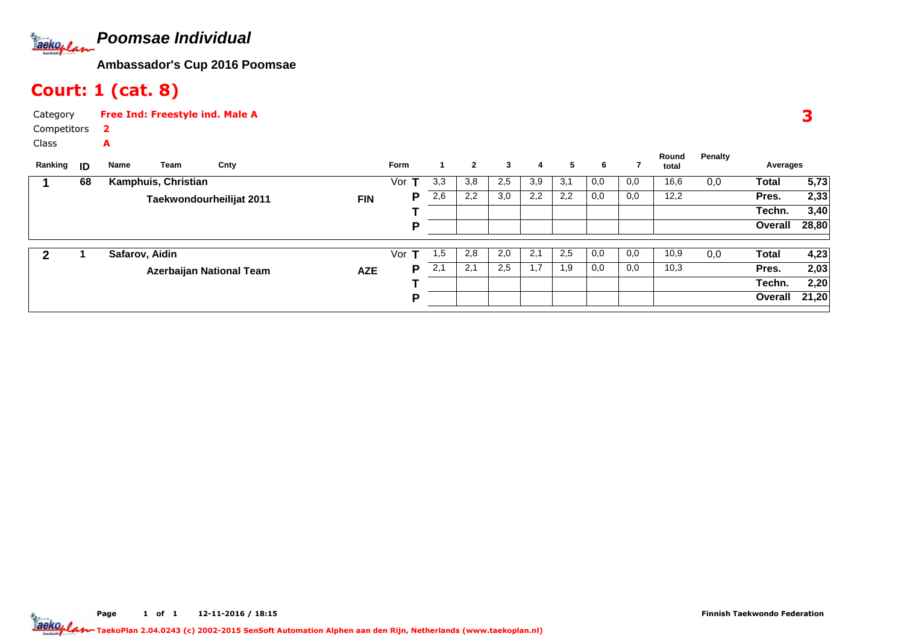

## Court: 1 (cat. 8)

A

| Category    | <b>Free Ind: Freestyle ind. Male A</b> |
|-------------|----------------------------------------|
| Competitors |                                        |

Class

| Ranking | ID | Name           | Team                | Cnty                            |            | Form |     | $\mathbf{2}$ | 3   | 4   | 5   | 6   |     | Round<br>total | Penalty | Averages |       |
|---------|----|----------------|---------------------|---------------------------------|------------|------|-----|--------------|-----|-----|-----|-----|-----|----------------|---------|----------|-------|
|         | 68 |                | Kamphuis, Christian |                                 |            | Vor  | 3,3 | 3,8          | 2,5 | 3,9 | 3,1 | 0,0 | 0,0 | 16,6           | 0,0     | Total    | 5,73  |
|         |    |                |                     | Taekwondourheilijat 2011        | <b>FIN</b> | P    | 2,6 | 2,2          | 3,0 | 2,2 | 2,2 | 0,0 | 0,0 | 12,2           |         | Pres.    | 2,33  |
|         |    |                |                     |                                 |            |      |     |              |     |     |     |     |     |                |         | Techn.   | 3,40  |
|         |    |                |                     |                                 |            | D    |     |              |     |     |     |     |     |                |         | Overall  | 28,80 |
|         |    |                |                     |                                 |            |      |     |              |     |     |     |     |     |                |         |          |       |
|         |    | Safarov, Aidin |                     |                                 |            | Vor  | 1,5 | 2,8          | 2,0 | 2,1 | 2,5 | 0,0 | 0,0 | 10,9           | 0,0     | Total    | 4,23  |
|         |    |                |                     | <b>Azerbaijan National Team</b> | <b>AZE</b> | P    | 2,1 | 2,1          | 2,5 | 1,7 | 1,9 | 0,0 | 0,0 | 10,3           |         | Pres.    | 2,03  |
|         |    |                |                     |                                 |            |      |     |              |     |     |     |     |     |                |         | Techn.   | 2,20  |
|         |    |                |                     |                                 |            | D    |     |              |     |     |     |     |     |                |         | Overall  | 21,20 |
|         |    |                |                     |                                 |            |      |     |              |     |     |     |     |     |                |         |          |       |

3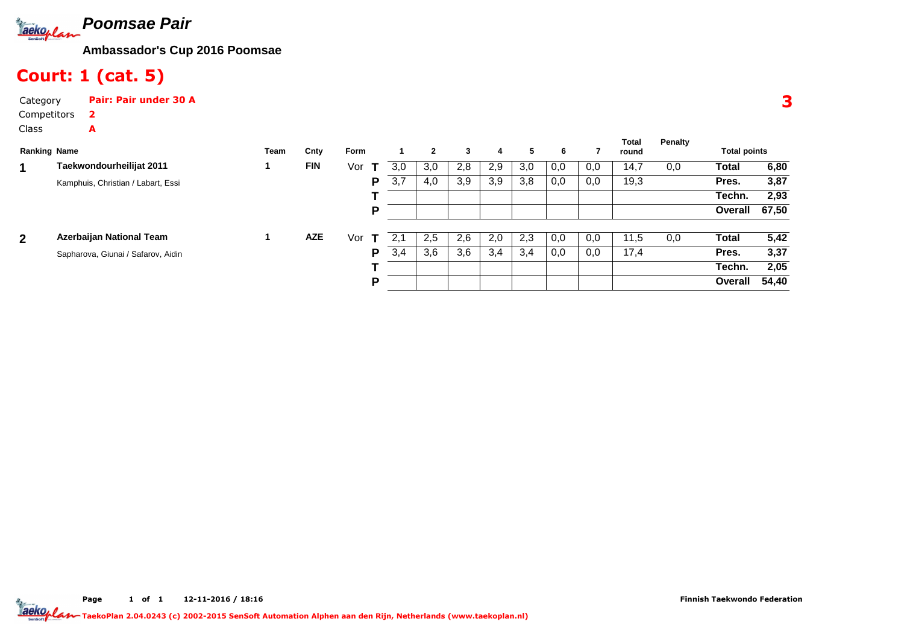

# Court: 1 (cat. 5)

A

CategoryPair: Pair under 30 A

| <b>Ranking Name</b> |                                    | Team | Cnty       | Form |     | $\mathbf{2}$ | 3   | 4   | 5   | 6   |     | Total<br>round | Penalty | <b>Total points</b> |       |
|---------------------|------------------------------------|------|------------|------|-----|--------------|-----|-----|-----|-----|-----|----------------|---------|---------------------|-------|
| 1                   | Taekwondourheilijat 2011           |      | <b>FIN</b> | Vor  | 3,0 | 3,0          | 2,8 | 2,9 | 3,0 | 0,0 | 0,0 | 14,7           | 0,0     | Total               | 6,80  |
|                     | Kamphuis, Christian / Labart, Essi |      |            | P    | 3,7 | 4,0          | 3,9 | 3,9 | 3,8 | 0,0 | 0,0 | 19,3           |         | Pres.               | 3,87  |
|                     |                                    |      |            |      |     |              |     |     |     |     |     |                |         | Techn.              | 2,93  |
|                     |                                    |      |            | P    |     |              |     |     |     |     |     |                |         | Overall             | 67,50 |
| $\overline{2}$      | Azerbaijan National Team           |      | <b>AZE</b> | Vor  | 2.1 | 2,5          | 2,6 | 2,0 | 2,3 | 0,0 | 0,0 | 11,5           | 0,0     | <b>Total</b>        | 5,42  |
|                     | Sapharova, Giunai / Safarov, Aidin |      |            | P    | 3,4 | 3,6          | 3,6 | 3,4 | 3,4 | 0,0 | 0,0 | 17,4           |         | Pres.               | 3,37  |
|                     |                                    |      |            |      |     |              |     |     |     |     |     |                |         | Techn.              | 2,05  |
|                     |                                    |      |            | P    |     |              |     |     |     |     |     |                |         | Overall             | 54,40 |

3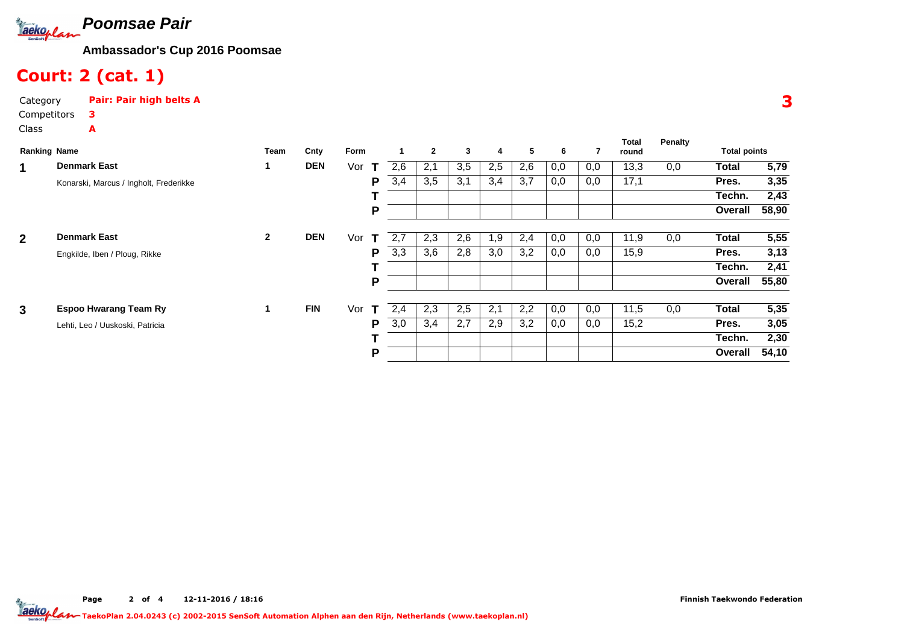

# Court: 2 (cat. 1)

A

CategoryPair: Pair high belts A

|                | <b>Ranking Name</b>                    | Team         | Cnty       | Form     |     |     | $\mathbf{2}$ | $\mathbf{3}$ | 4   | 5   | 6   |     | <b>Total</b><br>round | <b>Penalty</b> | <b>Total points</b> |       |
|----------------|----------------------------------------|--------------|------------|----------|-----|-----|--------------|--------------|-----|-----|-----|-----|-----------------------|----------------|---------------------|-------|
| 1              | <b>Denmark East</b>                    | 1            | <b>DEN</b> | Vor<br>т | 2,6 | 2,1 |              | 3,5          | 2,5 | 2,6 | 0,0 | 0,0 | 13,3                  | 0,0            | Total               | 5,79  |
|                | Konarski, Marcus / Ingholt, Frederikke |              |            | Р        | 3,4 | 3,5 |              | 3,1          | 3,4 | 3,7 | 0,0 | 0,0 | 17,1                  |                | Pres.               | 3,35  |
|                |                                        |              |            |          |     |     |              |              |     |     |     |     |                       |                | Techn.              | 2,43  |
|                |                                        |              |            | Ρ        |     |     |              |              |     |     |     |     |                       |                | Overall             | 58,90 |
| $\overline{2}$ | <b>Denmark East</b>                    | $\mathbf{2}$ | <b>DEN</b> | Vor<br>т | 2.7 | 2,3 |              | 2,6          | 1,9 | 2,4 | 0,0 | 0,0 | 11,9                  | 0,0            | <b>Total</b>        | 5,55  |
|                | Engkilde, Iben / Ploug, Rikke          |              |            | Р        | 3,3 | 3,6 |              | 2,8          | 3,0 | 3,2 | 0,0 | 0,0 | 15,9                  |                | Pres.               | 3,13  |
|                |                                        |              |            |          |     |     |              |              |     |     |     |     |                       |                | Techn.              | 2,41  |
|                |                                        |              |            | P        |     |     |              |              |     |     |     |     |                       |                | Overall             | 55,80 |
| $\mathbf{3}$   | <b>Espoo Hwarang Team Ry</b>           | 1.           | <b>FIN</b> | Vor<br>т | 2,4 | 2,3 |              | 2,5          | 2,1 | 2,2 | 0,0 | 0,0 | 11,5                  | 0,0            | <b>Total</b>        | 5,35  |
|                | Lehti, Leo / Uuskoski, Patricia        |              |            | Р        | 3,0 | 3,4 |              | 2,7          | 2,9 | 3,2 | 0,0 | 0,0 | 15,2                  |                | Pres.               | 3,05  |
|                |                                        |              |            |          |     |     |              |              |     |     |     |     |                       |                | Techn.              | 2,30  |
|                |                                        |              |            | Р        |     |     |              |              |     |     |     |     |                       |                | Overall             | 54,10 |

Page 2 of 4 12-11-2016 / 18:16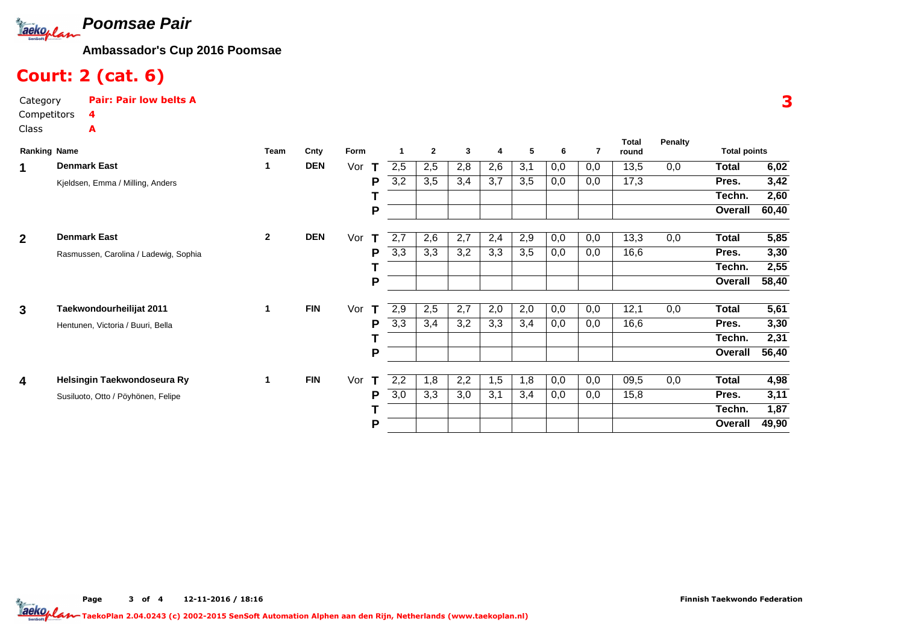

# Court: 2 (cat. 6)

A

CategoryPair: Pair low belts A

| <b>Ranking Name</b>     |                                       | Team         | Cnty       | Form               |     | $\mathbf{2}$ | 3   | 4   | 5   | 6   | 7   | Total<br>round | <b>Penalty</b> | <b>Total points</b> |       |
|-------------------------|---------------------------------------|--------------|------------|--------------------|-----|--------------|-----|-----|-----|-----|-----|----------------|----------------|---------------------|-------|
| 1                       | <b>Denmark East</b>                   |              | <b>DEN</b> | Vor<br>Т           | 2,5 | 2,5          | 2,8 | 2,6 | 3,1 | 0,0 | 0,0 | 13,5           | 0,0            | <b>Total</b>        | 6,02  |
|                         | Kjeldsen, Emma / Milling, Anders      |              |            | Р                  | 3,2 | 3,5          | 3,4 | 3,7 | 3,5 | 0,0 | 0,0 | 17,3           |                | Pres.               | 3,42  |
|                         |                                       |              |            |                    |     |              |     |     |     |     |     |                |                | Techn.              | 2,60  |
|                         |                                       |              |            | P                  |     |              |     |     |     |     |     |                |                | Overall             | 60,40 |
| $\overline{2}$          | <b>Denmark East</b>                   | $\mathbf{2}$ | <b>DEN</b> | Vor<br>Т           | 2,7 | 2,6          | 2,7 | 2,4 | 2,9 | 0,0 | 0,0 | 13,3           | 0,0            | Total               | 5,85  |
|                         | Rasmussen, Carolina / Ladewig, Sophia |              |            | Р                  | 3,3 | 3,3          | 3,2 | 3,3 | 3,5 | 0,0 | 0,0 | 16,6           |                | Pres.               | 3,30  |
|                         |                                       |              |            |                    |     |              |     |     |     |     |     |                |                | Techn.              | 2,55  |
|                         |                                       |              |            | Ρ                  |     |              |     |     |     |     |     |                |                | Overall             | 58,40 |
| 3                       | Taekwondourheilijat 2011              | 1            | <b>FIN</b> | Vor<br>т           | 2,9 | 2,5          | 2,7 | 2,0 | 2,0 | 0,0 | 0,0 | 12,1           | 0,0            | <b>Total</b>        | 5,61  |
|                         | Hentunen, Victoria / Buuri, Bella     |              |            | Р                  | 3,3 | 3,4          | 3,2 | 3,3 | 3,4 | 0,0 | 0,0 | 16,6           |                | Pres.               | 3,30  |
|                         |                                       |              |            |                    |     |              |     |     |     |     |     |                |                | Techn.              | 2,31  |
|                         |                                       |              |            | P                  |     |              |     |     |     |     |     |                |                | <b>Overall</b>      | 56,40 |
| $\overline{\mathbf{4}}$ | Helsingin Taekwondoseura Ry           | $\mathbf{1}$ | <b>FIN</b> | Vor<br>$\mathbf T$ | 2,2 | 1,8          | 2,2 | 1,5 | 1,8 | 0,0 | 0,0 | 09,5           | 0,0            | <b>Total</b>        | 4,98  |
|                         | Susiluoto, Otto / Pöyhönen, Felipe    |              |            | Р                  | 3,0 | 3,3          | 3.0 | 3,1 | 3,4 | 0,0 | 0,0 | 15,8           |                | Pres.               | 3,11  |
|                         |                                       |              |            |                    |     |              |     |     |     |     |     |                |                | Techn.              | 1,87  |
|                         |                                       |              |            | Р                  |     |              |     |     |     |     |     |                |                | Overall             | 49,90 |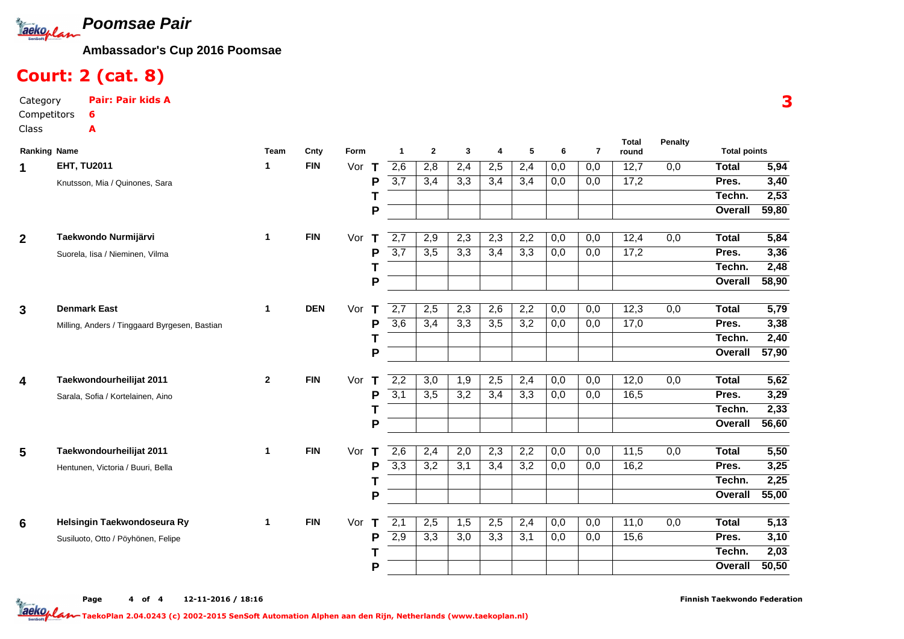

# Court: 2 (cat. 8)

CategoryPair: Pair kids A

A

| <b>Ranking Name</b> |                                               | Team         | Cnty       | Form     | 1                | $\mathbf{2}$     | 3                | 4   | 5                | 6   | $\overline{7}$ | <b>Total</b><br>round | Penalty | <b>Total points</b> |       |
|---------------------|-----------------------------------------------|--------------|------------|----------|------------------|------------------|------------------|-----|------------------|-----|----------------|-----------------------|---------|---------------------|-------|
| 1                   | <b>EHT, TU2011</b>                            | 1            | <b>FIN</b> | Vor<br>т | 2,6              | 2,8              | 2,4              | 2,5 | 2,4              | 0,0 | 0,0            | 12,7                  | 0,0     | <b>Total</b>        | 5,94  |
|                     | Knutsson, Mia / Quinones, Sara                |              |            | P        | $\overline{3,7}$ | 3,4              | 3,3              | 3,4 | 3,4              | 0,0 | 0,0            | 17,2                  |         | Pres.               | 3,40  |
|                     |                                               |              |            |          |                  |                  |                  |     |                  |     |                |                       |         | Techn.              | 2,53  |
|                     |                                               |              |            | P        |                  |                  |                  |     |                  |     |                |                       |         | Overall             | 59,80 |
| $\mathbf{2}$        | Taekwondo Nurmijärvi                          | $\mathbf{1}$ | <b>FIN</b> | Vor<br>т | 2,7              | 2,9              | 2,3              | 2,3 | 2,2              | 0,0 | 0,0            | 12,4                  | 0,0     | <b>Total</b>        | 5,84  |
|                     | Suorela, Iisa / Nieminen, Vilma               |              |            | P        | $\overline{3,7}$ | $\overline{3,5}$ | $\overline{3,3}$ | 3,4 | 3,3              | 0,0 | 0,0            | 17,2                  |         | Pres.               | 3,36  |
|                     |                                               |              |            |          |                  |                  |                  |     |                  |     |                |                       |         | Techn.              | 2,48  |
|                     |                                               |              |            | P        |                  |                  |                  |     |                  |     |                |                       |         | Overall             | 58,90 |
| 3                   | <b>Denmark East</b>                           | $\mathbf{1}$ | <b>DEN</b> | Vor<br>т | 2,7              | 2,5              | 2,3              | 2,6 | 2,2              | 0,0 | 0,0            | 12,3                  | 0,0     | <b>Total</b>        | 5,79  |
|                     | Milling, Anders / Tinggaard Byrgesen, Bastian |              |            | P        | $\overline{3,6}$ | 3,4              | 3,3              | 3,5 | $\overline{3,2}$ | 0,0 | 0,0            | 17,0                  |         | Pres.               | 3,38  |
|                     |                                               |              |            |          |                  |                  |                  |     |                  |     |                |                       |         | Techn.              | 2,40  |
|                     |                                               |              |            | P        |                  |                  |                  |     |                  |     |                |                       |         | Overall             | 57,90 |
| 4                   | Taekwondourheilijat 2011                      | $\mathbf{2}$ | <b>FIN</b> | Vor<br>Т | 2,2              | 3,0              | 1,9              | 2,5 | 2,4              | 0,0 | 0,0            | 12,0                  | 0,0     | <b>Total</b>        | 5,62  |
|                     | Sarala, Sofia / Kortelainen, Aino             |              |            | P        | 3,1              | $\overline{3,5}$ | $\overline{3,2}$ | 3,4 | 3,3              | 0,0 | 0,0            | 16,5                  |         | Pres.               | 3,29  |
|                     |                                               |              |            | т        |                  |                  |                  |     |                  |     |                |                       |         | Techn.              | 2,33  |
|                     |                                               |              |            | P        |                  |                  |                  |     |                  |     |                |                       |         | Overall             | 56,60 |
| 5                   | Taekwondourheilijat 2011                      | $\mathbf{1}$ | <b>FIN</b> | Vor<br>т | $\overline{2,6}$ | 2,4              | 2,0              | 2,3 | $\overline{2,2}$ | 0,0 | 0,0            | 11,5                  | 0,0     | <b>Total</b>        | 5,50  |
|                     | Hentunen, Victoria / Buuri, Bella             |              |            | P        | 3,3              | $\overline{3,2}$ | 3,1              | 3,4 | 3,2              | 0,0 | 0,0            | 16,2                  |         | Pres.               | 3,25  |
|                     |                                               |              |            | т        |                  |                  |                  |     |                  |     |                |                       |         | Techn.              | 2,25  |
|                     |                                               |              |            | P        |                  |                  |                  |     |                  |     |                |                       |         | Overall             | 55,00 |
| 6                   | Helsingin Taekwondoseura Ry                   | 1            | <b>FIN</b> | Vor<br>т | 2,1              | 2,5              | 1,5              | 2,5 | 2,4              | 0,0 | 0,0            | 11,0                  | 0,0     | <b>Total</b>        | 5,13  |
|                     | Susiluoto, Otto / Pöyhönen, Felipe            |              |            | P        | 2,9              | 3,3              | $\overline{3,0}$ | 3,3 | 3,1              | 0,0 | 0,0            | 15,6                  |         | Pres.               | 3,10  |
|                     |                                               |              |            | Т        |                  |                  |                  |     |                  |     |                |                       |         | Techn.              | 2,03  |
|                     |                                               |              |            | P        |                  |                  |                  |     |                  |     |                |                       |         | Overall             | 50,50 |

Page 4 of 4 12-11-2016 / 18:16